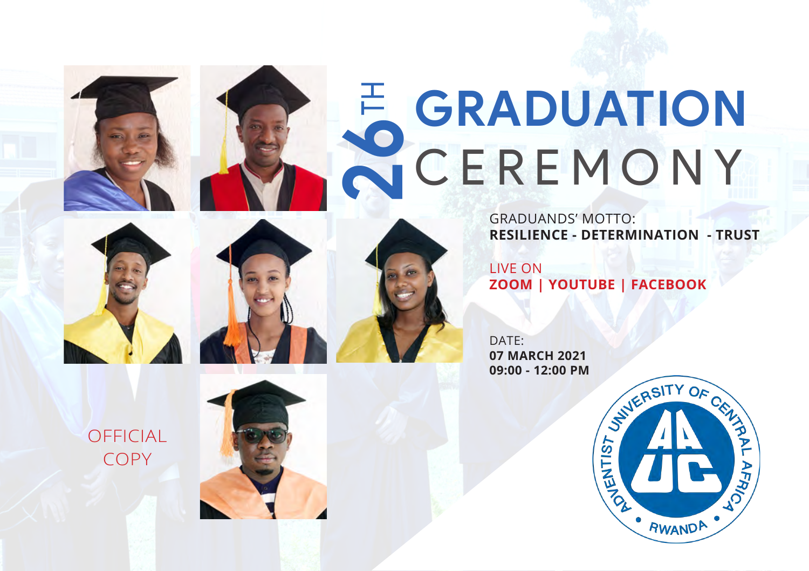# **2**<br>CEREMONY CEREMONY

GRADUANDS' MOTTO: **RESILIENCE - DETERMINATION - TRUST**

LIVE ON **ZOOM | YOUTUBE | FACEBOOK**

DATF: **07 MARCH 2021 09:00 - 12:00 PM**

OFFICIAL COPY



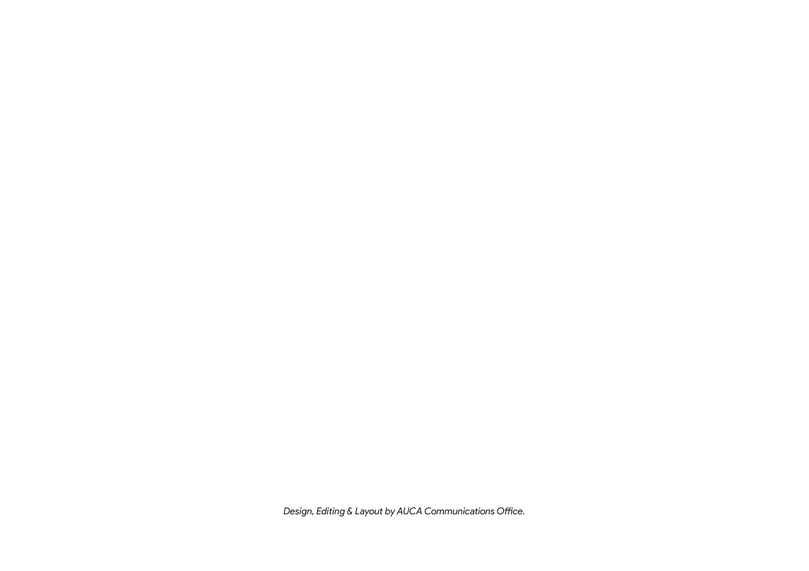*Design, Editing & Layout by AUCA Communications Office.*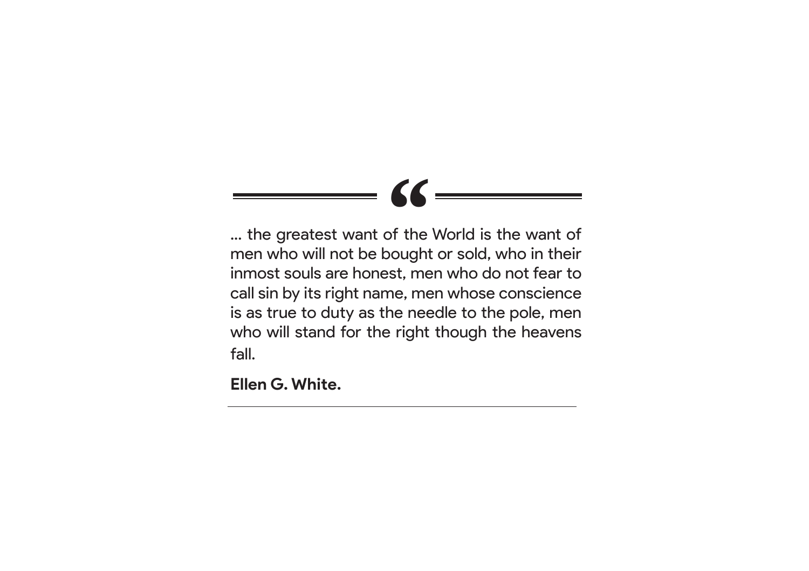# *"*

... the greatest want of the World is the want of men who will not be bought or sold, who in their inmost souls are honest, men who do not fear to call sin by its right name, men whose conscience is as true to duty as the needle to the pole, men who will stand for the right though the heavens fall.

**Ellen G. White.**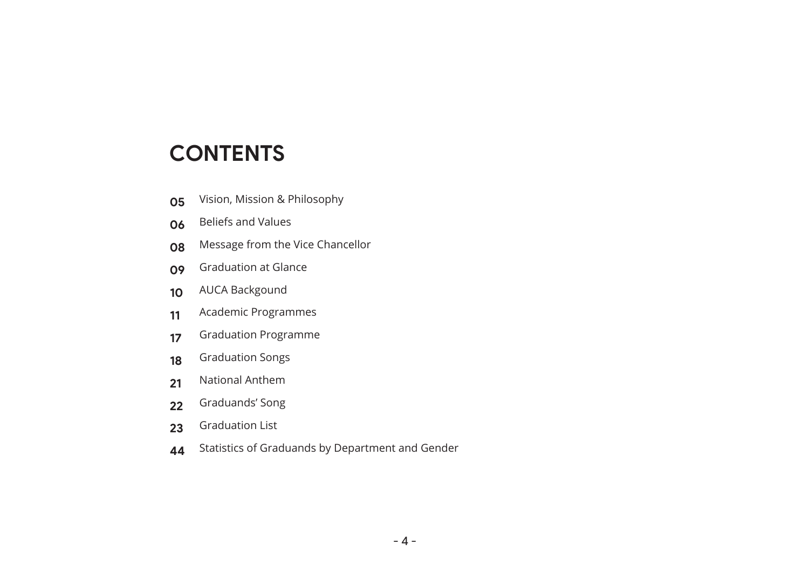#### **CONTENTS**

- Vision, Mission & Philosophy
- Beliefs and Values
- Message from the Vice Chancellor
- Graduation at Glance
- AUCA Backgound
- Academic Programmes
- Graduation Programme
- Graduation Songs
- National Anthem
- Graduands' Song
- Graduation List
- Statistics of Graduands by Department and Gender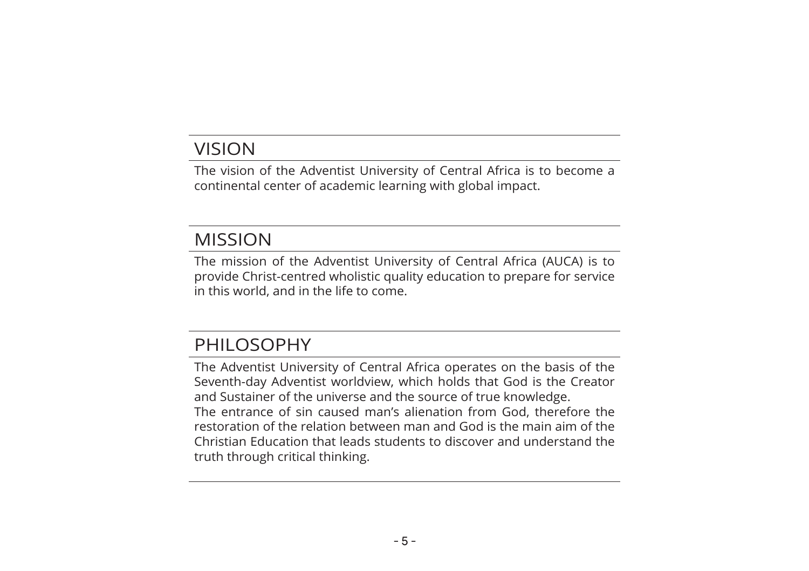#### VISION

The vision of the Adventist University of Central Africa is to become a continental center of academic learning with global impact.

#### MISSION

The mission of the Adventist University of Central Africa (AUCA) is to provide Christ-centred wholistic quality education to prepare for service in this world, and in the life to come.

#### PHILOSOPHY

The Adventist University of Central Africa operates on the basis of the Seventh-day Adventist worldview, which holds that God is the Creator and Sustainer of the universe and the source of true knowledge. The entrance of sin caused man's alienation from God, therefore the restoration of the relation between man and God is the main aim of the Christian Education that leads students to discover and understand the truth through critical thinking.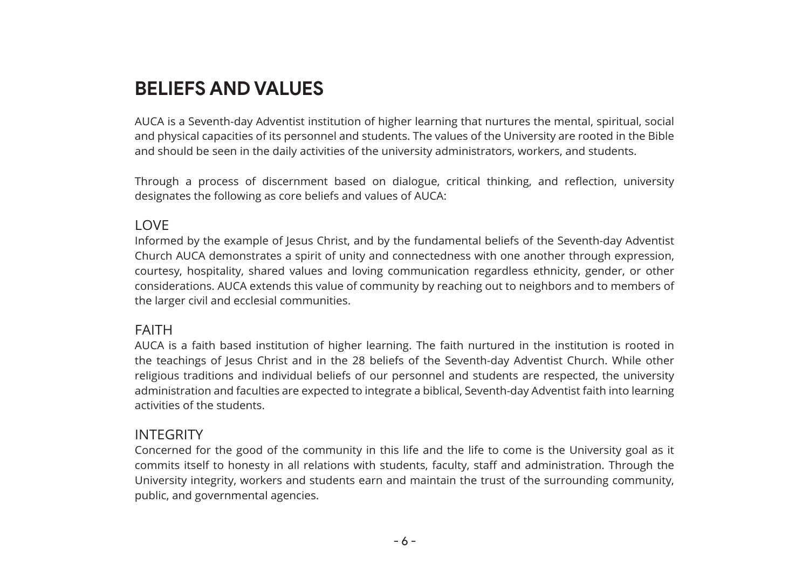#### **BELIEFS AND VALUES**

AUCA is a Seventh-day Adventist institution of higher learning that nurtures the mental, spiritual, social and physical capacities of its personnel and students. The values of the University are rooted in the Bible and should be seen in the daily activities of the university administrators, workers, and students.

Through a process of discernment based on dialogue, critical thinking, and reflection, university designates the following as core beliefs and values of AUCA:

#### LOVE

Informed by the example of Jesus Christ, and by the fundamental beliefs of the Seventh-day Adventist Church AUCA demonstrates a spirit of unity and connectedness with one another through expression, courtesy, hospitality, shared values and loving communication regardless ethnicity, gender, or other considerations. AUCA extends this value of community by reaching out to neighbors and to members of the larger civil and ecclesial communities.

#### FAITH

AUCA is a faith based institution of higher learning. The faith nurtured in the institution is rooted in the teachings of Jesus Christ and in the 28 beliefs of the Seventh-day Adventist Church. While other religious traditions and individual beliefs of our personnel and students are respected, the university administration and faculties are expected to integrate a biblical, Seventh-day Adventist faith into learning activities of the students.

#### INTEGRITY

Concerned for the good of the community in this life and the life to come is the University goal as it commits itself to honesty in all relations with students, faculty, staff and administration. Through the University integrity, workers and students earn and maintain the trust of the surrounding community, public, and governmental agencies.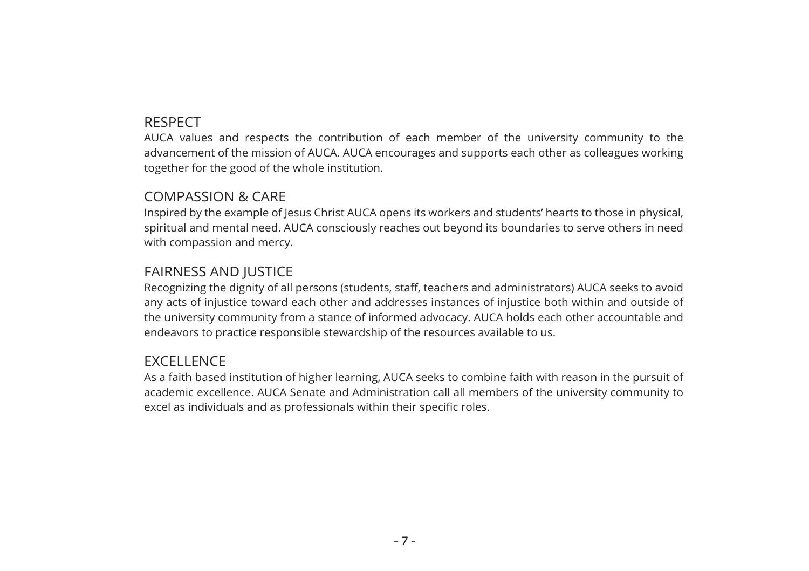#### RESPECT

AUCA values and respects the contribution of each member of the university community to the advancement of the mission of AUCA. AUCA encourages and supports each other as colleagues working together for the good of the whole institution.

#### COMPASSION & CARE

Inspired by the example of Jesus Christ AUCA opens its workers and students' hearts to those in physical, spiritual and mental need. AUCA consciously reaches out beyond its boundaries to serve others in need with compassion and mercy.

#### FAIRNESS AND JUSTICE

Recognizing the dignity of all persons (students, staff, teachers and administrators) AUCA seeks to avoid any acts of injustice toward each other and addresses instances of injustice both within and outside of the university community from a stance of informed advocacy. AUCA holds each other accountable and endeavors to practice responsible stewardship of the resources available to us.

#### **EXCELLENCE**

As a faith based institution of higher learning, AUCA seeks to combine faith with reason in the pursuit of academic excellence. AUCA Senate and Administration call all members of the university community to excel as individuals and as professionals within their specific roles.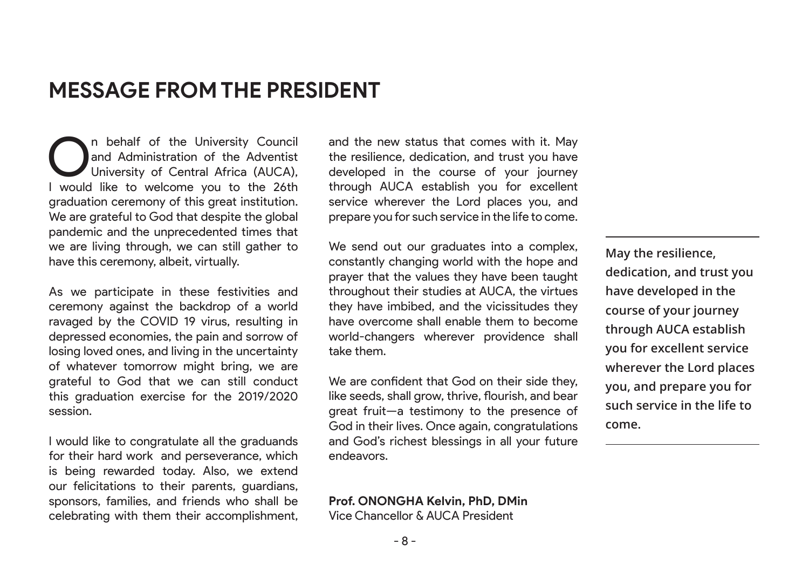#### **MESSAGE FROM THE PRESIDENT**

n behalf of the University Council and Administration of the Adventist University of Central Africa (AUCA), I would like to welcome you to the 26th graduation ceremony of this great institution. We are grateful to God that despite the global pandemic and the unprecedented times that we are living through, we can still gather to have this ceremony, albeit, virtually.

As we participate in these festivities and ceremony against the backdrop of a world ravaged by the COVID 19 virus, resulting in depressed economies, the pain and sorrow of losing loved ones, and living in the uncertainty of whatever tomorrow might bring, we are grateful to God that we can still conduct this graduation exercise for the 2019/2020 session.

I would like to congratulate all the graduands for their hard work and perseverance, which is being rewarded today. Also, we extend our felicitations to their parents, guardians, sponsors, families, and friends who shall be celebrating with them their accomplishment, and the new status that comes with it. May the resilience, dedication, and trust you have developed in the course of your journey through AUCA establish you for excellent service wherever the Lord places you, and prepare you for such service in the life to come.

We send out our graduates into a complex, constantly changing world with the hope and prayer that the values they have been taught throughout their studies at AUCA, the virtues they have imbibed, and the vicissitudes they have overcome shall enable them to become world-changers wherever providence shall take them.

We are confident that God on their side they, like seeds, shall grow, thrive, flourish, and bear great fruit—a testimony to the presence of God in their lives. Once again, congratulations and God's richest blessings in all your future endeavors.

**May the resilience, dedication, and trust you have developed in the course of your journey through AUCA establish you for excellent service wherever the Lord places you, and prepare you for such service in the life to come.**

**Prof. ONONGHA Kelvin, PhD, DMin** Vice Chancellor & AUCA President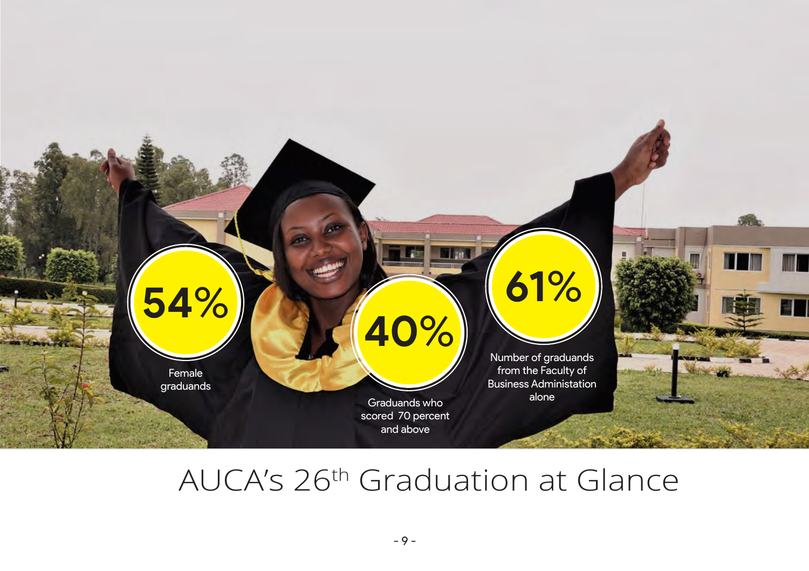

# AUCA's 26th Graduation at Glance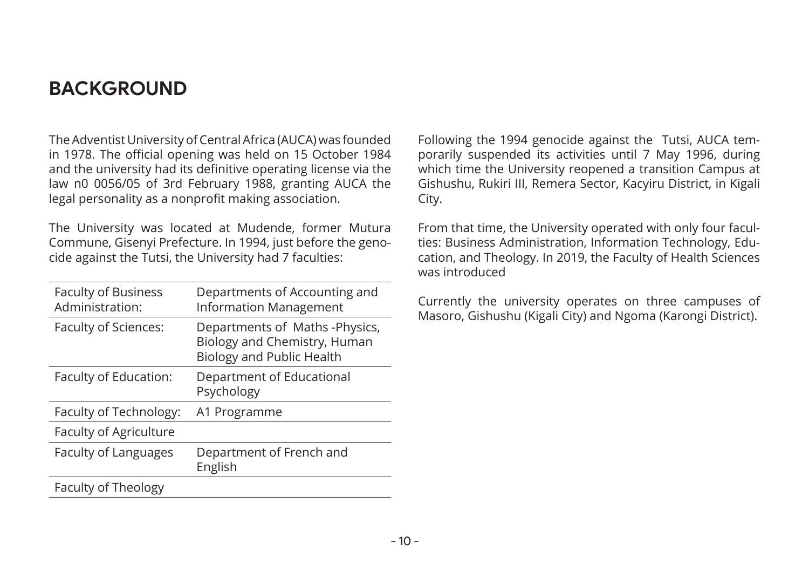#### **BACKGROUND**

The Adventist University of Central Africa (AUCA) was founded in 1978. The official opening was held on 15 October 1984 and the university had its definitive operating license via the law n0 0056/05 of 3rd February 1988, granting AUCA the legal personality as a nonprofit making association.

The University was located at Mudende, former Mutura Commune, Gisenyi Prefecture. In 1994, just before the genocide against the Tutsi, the University had 7 faculties:

| <b>Faculty of Business</b><br>Administration: | Departments of Accounting and<br><b>Information Management</b>                                     |
|-----------------------------------------------|----------------------------------------------------------------------------------------------------|
| Faculty of Sciences:                          | Departments of Maths -Physics,<br>Biology and Chemistry, Human<br><b>Biology and Public Health</b> |
| Faculty of Education:                         | Department of Educational<br>Psychology                                                            |
| Faculty of Technology:                        | A1 Programme                                                                                       |
| Faculty of Agriculture                        |                                                                                                    |
| Faculty of Languages                          | Department of French and<br>English                                                                |
| Faculty of Theology                           |                                                                                                    |

Following the 1994 genocide against the Tutsi, AUCA temporarily suspended its activities until 7 May 1996, during which time the University reopened a transition Campus at Gishushu, Rukiri III, Remera Sector, Kacyiru District, in Kigali City.

From that time, the University operated with only four faculties: Business Administration, Information Technology, Education, and Theology. In 2019, the Faculty of Health Sciences was introduced

Currently the university operates on three campuses of Masoro, Gishushu (Kigali City) and Ngoma (Karongi District).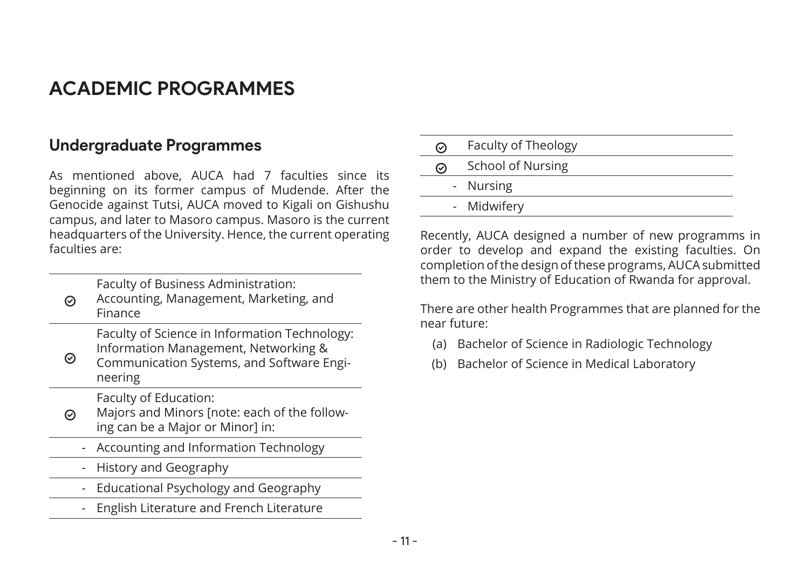#### **ACADEMIC PROGRAMMES**

#### **Undergraduate Programmes**

As mentioned above, AUCA had 7 faculties since its beginning on its former campus of Mudende. After the Genocide against Tutsi, AUCA moved to Kigali on Gishushu campus, and later to Masoro campus. Masoro is the current headquarters of the University. Hence, the current operating faculties are:

Faculty of Business Administration:

 $\odot$ Accounting, Management, Marketing, and Finance

> Faculty of Science in Information Technology: Information Management, Networking &

 $\odot$ Communication Systems, and Software Engineering

Faculty of Education:

- $\odot$ Majors and Minors [note: each of the following can be a Major or Minor] in:
	- Accounting and Information Technology
	- History and Geography
	- Educational Psychology and Geography
	- English Literature and French Literature

| ∞                      | Faculty of Theology |  |
|------------------------|---------------------|--|
| School of Nursing<br>∞ |                     |  |
|                        | - Nursing           |  |
|                        | - Midwifery         |  |

Recently, AUCA designed a number of new programms in order to develop and expand the existing faculties. On completion of the design of these programs, AUCA submitted them to the Ministry of Education of Rwanda for approval.

There are other health Programmes that are planned for the near future:

- (a) Bachelor of Science in Radiologic Technology
- (b) Bachelor of Science in Medical Laboratory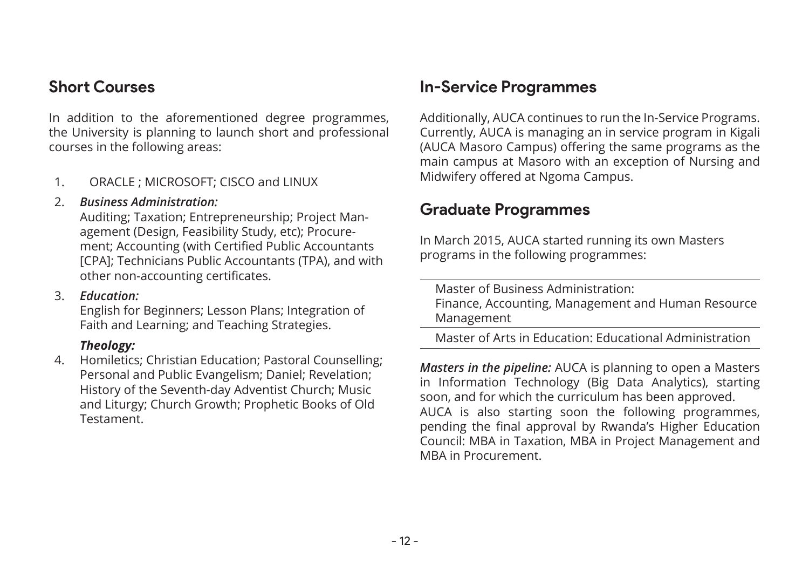#### **Short Courses**

In addition to the aforementioned degree programmes, the University is planning to launch short and professional courses in the following areas:

1. ORACLE ; MICROSOFT; CISCO and LINUX

#### 2. *Business Administration:*

Auditing; Taxation; Entrepreneurship; Project Management (Design, Feasibility Study, etc); Procurement; Accounting (with Certified Public Accountants [CPA]; Technicians Public Accountants (TPA), and with other non-accounting certificates.

#### 3. *Education:*

English for Beginners; Lesson Plans; Integration of Faith and Learning; and Teaching Strategies.

#### *Theology:*

4. Homiletics; Christian Education; Pastoral Counselling; Personal and Public Evangelism; Daniel; Revelation; History of the Seventh-day Adventist Church; Music and Liturgy; Church Growth; Prophetic Books of Old Testament.

#### **In-Service Programmes**

Additionally, AUCA continues to run the In-Service Programs. Currently, AUCA is managing an in service program in Kigali (AUCA Masoro Campus) offering the same programs as the main campus at Masoro with an exception of Nursing and Midwifery offered at Ngoma Campus.

#### **Graduate Programmes**

In March 2015, AUCA started running its own Masters programs in the following programmes:

Master of Business Administration: Finance, Accounting, Management and Human Resource Management

Master of Arts in Education: Educational Administration

*Masters in the pipeline:* AUCA is planning to open a Masters in Information Technology (Big Data Analytics), starting soon, and for which the curriculum has been approved. AUCA is also starting soon the following programmes, pending the final approval by Rwanda's Higher Education Council: MBA in Taxation, MBA in Project Management and MBA in Procurement.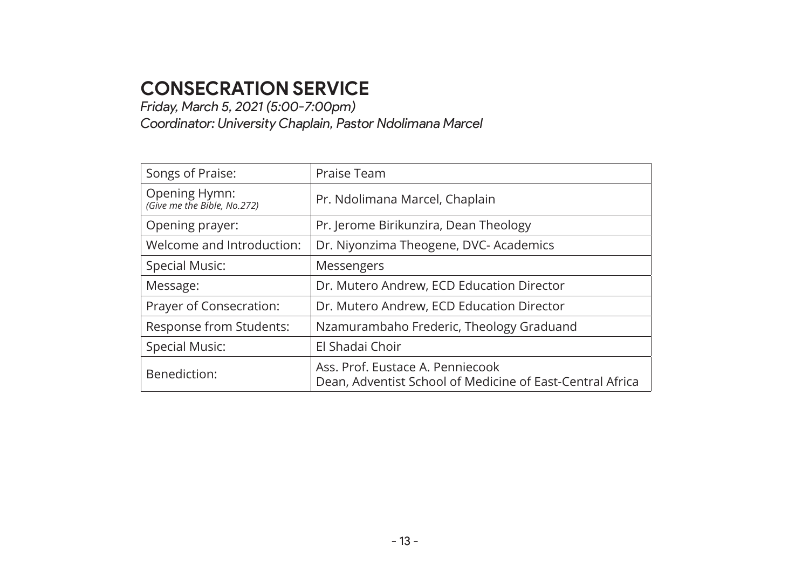#### **CONSECRATION SERVICE**

*Friday, March 5, 2021 (5:00-7:00pm)*

*Coordinator: University Chaplain, Pastor Ndolimana Marcel*

| Songs of Praise:                             | Praise Team                                                                                   |  |  |
|----------------------------------------------|-----------------------------------------------------------------------------------------------|--|--|
| Opening Hymn:<br>(Give me the Bible, No.272) | Pr. Ndolimana Marcel, Chaplain                                                                |  |  |
| Opening prayer:                              | Pr. Jerome Birikunzira, Dean Theology                                                         |  |  |
| Welcome and Introduction:                    | Dr. Niyonzima Theogene, DVC- Academics                                                        |  |  |
| <b>Special Music:</b>                        | Messengers                                                                                    |  |  |
| Message:                                     | Dr. Mutero Andrew, ECD Education Director                                                     |  |  |
| Prayer of Consecration:                      | Dr. Mutero Andrew, ECD Education Director                                                     |  |  |
| Response from Students:                      | Nzamurambaho Frederic, Theology Graduand                                                      |  |  |
| <b>Special Music:</b>                        | El Shadai Choir                                                                               |  |  |
| Benediction:                                 | Ass. Prof. Eustace A. Penniecook<br>Dean, Adventist School of Medicine of East-Central Africa |  |  |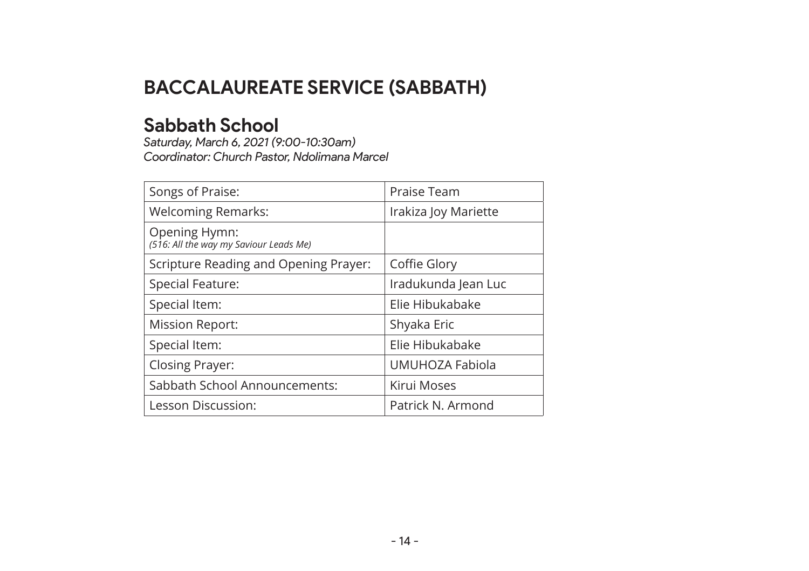#### **BACCALAUREATE SERVICE (SABBATH)**

#### **Sabbath School**

*Saturday, March 6, 2021 (9:00-10:30am) Coordinator: Church Pastor, Ndolimana Marcel*

| Songs of Praise:                                        | Praise Team          |  |
|---------------------------------------------------------|----------------------|--|
| <b>Welcoming Remarks:</b>                               | Irakiza Joy Mariette |  |
| Opening Hymn:<br>(516: All the way my Saviour Leads Me) |                      |  |
| Scripture Reading and Opening Prayer:                   | Coffie Glory         |  |
| Special Feature:                                        | Iradukunda Jean Luc  |  |
| Special Item:                                           | Elie Hibukabake      |  |
| <b>Mission Report:</b>                                  | Shyaka Eric          |  |
| Special Item:                                           | Elie Hibukabake      |  |
| <b>Closing Prayer:</b>                                  | UMUHOZA Fabiola      |  |
| Sabbath School Announcements:                           | Kirui Moses          |  |
| Lesson Discussion:                                      | Patrick N. Armond    |  |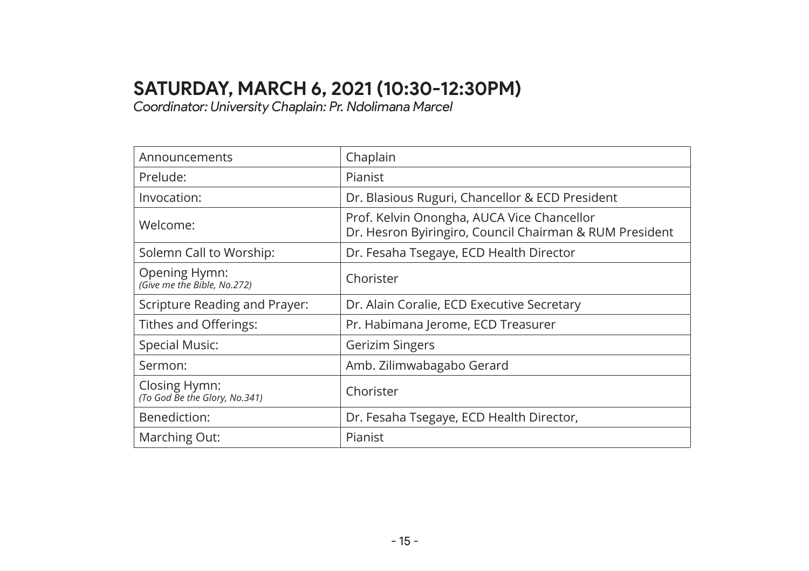#### **SATURDAY, MARCH 6, 2021 (10:30-12:30PM)**

*Coordinator: University Chaplain: Pr. Ndolimana Marcel*

| Announcements                                  | Chaplain                                                                                              |  |  |
|------------------------------------------------|-------------------------------------------------------------------------------------------------------|--|--|
| Prelude:                                       | Pianist                                                                                               |  |  |
| Invocation:                                    | Dr. Blasious Ruguri, Chancellor & ECD President                                                       |  |  |
| Welcome:                                       | Prof. Kelvin Onongha, AUCA Vice Chancellor<br>Dr. Hesron Byiringiro, Council Chairman & RUM President |  |  |
| Solemn Call to Worship:                        | Dr. Fesaha Tsegaye, ECD Health Director                                                               |  |  |
| Opening Hymn:<br>(Give me the Bible, No.272)   | Chorister                                                                                             |  |  |
| Scripture Reading and Prayer:                  | Dr. Alain Coralie, ECD Executive Secretary                                                            |  |  |
| Tithes and Offerings:                          | Pr. Habimana Jerome, ECD Treasurer                                                                    |  |  |
| Special Music:                                 | Gerizim Singers                                                                                       |  |  |
| Sermon:                                        | Amb. Zilimwabagabo Gerard                                                                             |  |  |
| Closing Hymn:<br>(To God Be the Glory, No.341) | Chorister                                                                                             |  |  |
| Benediction:                                   | Dr. Fesaha Tsegaye, ECD Health Director,                                                              |  |  |
| Marching Out:                                  | Pianist                                                                                               |  |  |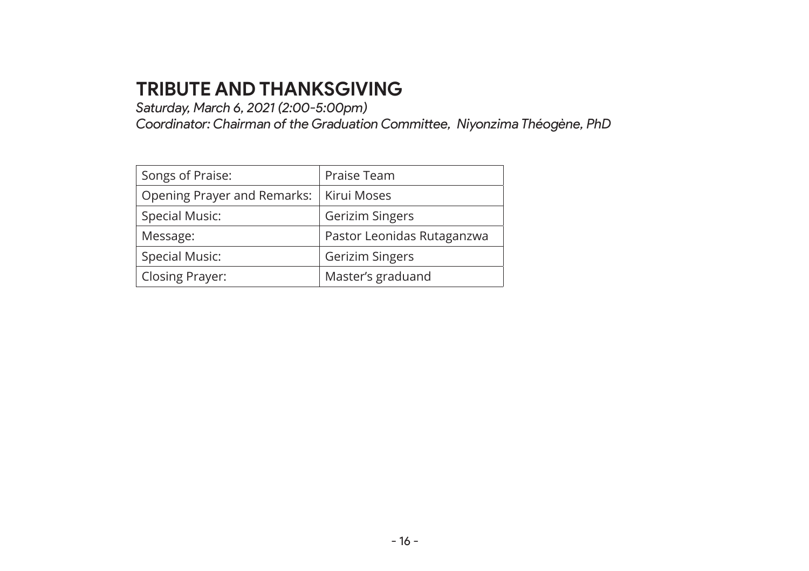#### **TRIBUTE AND THANKSGIVING**

*Saturday, March 6, 2021 (2:00-5:00pm)*

*Coordinator: Chairman of the Graduation Committee, Niyonzima Théogène, PhD*

| Songs of Praise:            | Praise Team                |  |
|-----------------------------|----------------------------|--|
| Opening Prayer and Remarks: | Kirui Moses                |  |
| <b>Special Music:</b>       | Gerizim Singers            |  |
| Message:                    | Pastor Leonidas Rutaganzwa |  |
| <b>Special Music:</b>       | Gerizim Singers            |  |
| Closing Prayer:             | Master's graduand          |  |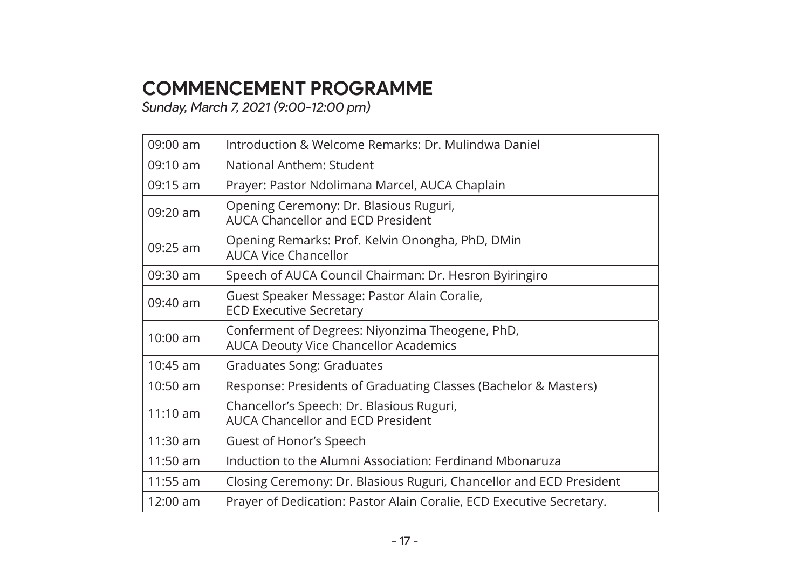#### **COMMENCEMENT PROGRAMME**

*Sunday, March 7, 2021 (9:00-12:00 pm)*

| $09:00$ am         | Introduction & Welcome Remarks: Dr. Mulindwa Daniel                                      |
|--------------------|------------------------------------------------------------------------------------------|
| $09:10 \text{ am}$ | National Anthem: Student                                                                 |
| $09:15$ am         | Prayer: Pastor Ndolimana Marcel, AUCA Chaplain                                           |
| $09:20$ am         | Opening Ceremony: Dr. Blasious Ruguri,<br>AUCA Chancellor and ECD President              |
| $09:25$ am         | Opening Remarks: Prof. Kelvin Onongha, PhD, DMin<br><b>AUCA Vice Chancellor</b>          |
| $09:30$ am         | Speech of AUCA Council Chairman: Dr. Hesron Byiringiro                                   |
| $09:40$ am         | Guest Speaker Message: Pastor Alain Coralie,<br><b>ECD Executive Secretary</b>           |
| $10:00$ am         | Conferment of Degrees: Niyonzima Theogene, PhD,<br>AUCA Deouty Vice Chancellor Academics |
| $10:45$ am         | Graduates Song: Graduates                                                                |
| $10:50$ am         | Response: Presidents of Graduating Classes (Bachelor & Masters)                          |
| $11:10$ am         | Chancellor's Speech: Dr. Blasious Ruguri,<br>AUCA Chancellor and ECD President           |
| $11:30$ am         | Guest of Honor's Speech                                                                  |
| $11:50$ am         | Induction to the Alumni Association: Ferdinand Mbonaruza                                 |
| $11:55$ am         | Closing Ceremony: Dr. Blasious Ruguri, Chancellor and ECD President                      |
| $12:00$ am         | Prayer of Dedication: Pastor Alain Coralie, ECD Executive Secretary.                     |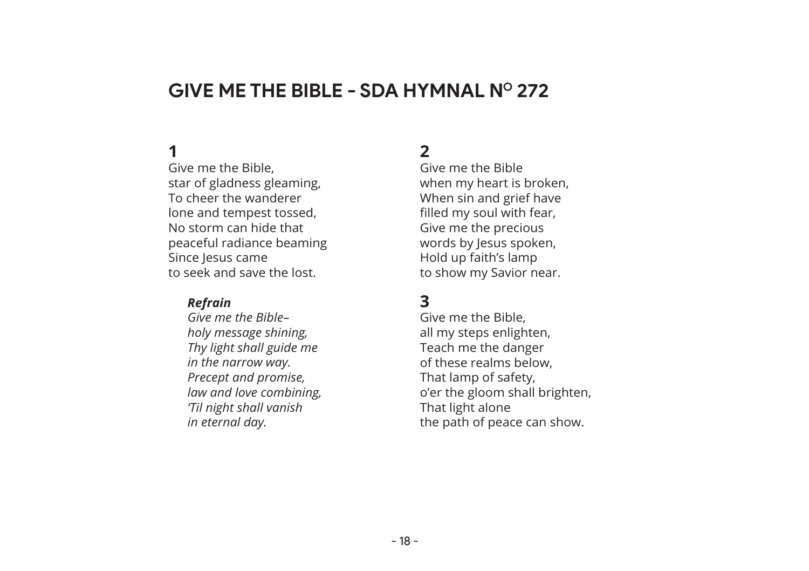#### **GIVE ME THE BIBLE - SDA HYMNAL NO 272**

#### **1**

Give me the Bible, star of gladness gleaming, To cheer the wanderer lone and tempest tossed, No storm can hide that peaceful radiance beaming Since Jesus came to seek and save the lost.

#### *Refrain*

*Give me the Bible– holy message shining, Thy light shall guide me in the narrow way. Precept and promise, law and love combining, 'Til night shall vanish in eternal day.*

#### **2**

Give me the Bible when my heart is broken, When sin and grief have filled my soul with fear, Give me the precious words by Jesus spoken, Hold up faith's lamp to show my Savior near.

#### **3**

Give me the Bible, all my steps enlighten, Teach me the danger of these realms below, That lamp of safety, o'er the gloom shall brighten, That light alone the path of peace can show.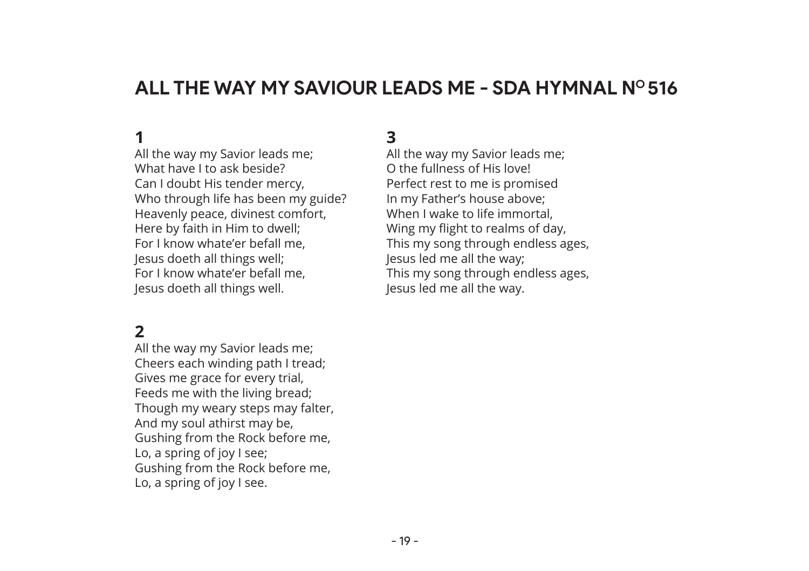#### **ALL THE WAY MY SAVIOUR LEADS ME - SDA HYMNAL NO 516**

#### **1**

All the way my Savior leads me; What have I to ask beside? Can I doubt His tender mercy, Who through life has been my guide? Heavenly peace, divinest comfort, Here by faith in Him to dwell; For I know whate'er befall me, Jesus doeth all things well; For I know whate'er befall me, Jesus doeth all things well.

#### **2**

All the way my Savior leads me; Cheers each winding path I tread; Gives me grace for every trial, Feeds me with the living bread; Though my weary steps may falter, And my soul athirst may be, Gushing from the Rock before me, Lo, a spring of joy I see; Gushing from the Rock before me, Lo, a spring of joy I see.

#### **3**

All the way my Savior leads me; O the fullness of His love! Perfect rest to me is promised In my Father's house above; When I wake to life immortal. Wing my flight to realms of day, This my song through endless ages, Jesus led me all the way; This my song through endless ages, Jesus led me all the way.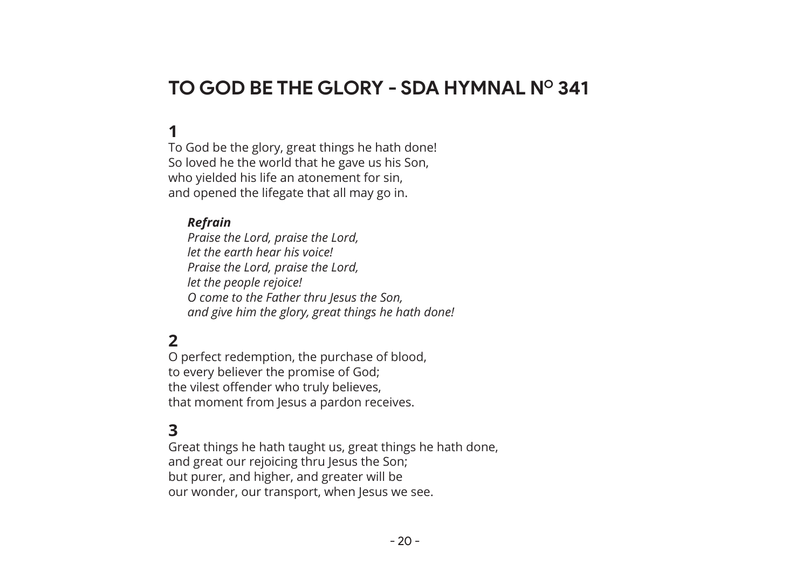#### **TO GOD BE THE GLORY - SDA HYMNAL NO 341**

#### **1**

To God be the glory, great things he hath done! So loved he the world that he gave us his Son, who yielded his life an atonement for sin, and opened the lifegate that all may go in.

#### *Refrain*

*Praise the Lord, praise the Lord, let the earth hear his voice! Praise the Lord, praise the Lord, let the people rejoice! O come to the Father thru Jesus the Son, and give him the glory, great things he hath done!*

#### **2**

O perfect redemption, the purchase of blood, to every believer the promise of God; the vilest offender who truly believes, that moment from Jesus a pardon receives.

#### **3**

Great things he hath taught us, great things he hath done, and great our rejoicing thru Jesus the Son; but purer, and higher, and greater will be our wonder, our transport, when Jesus we see.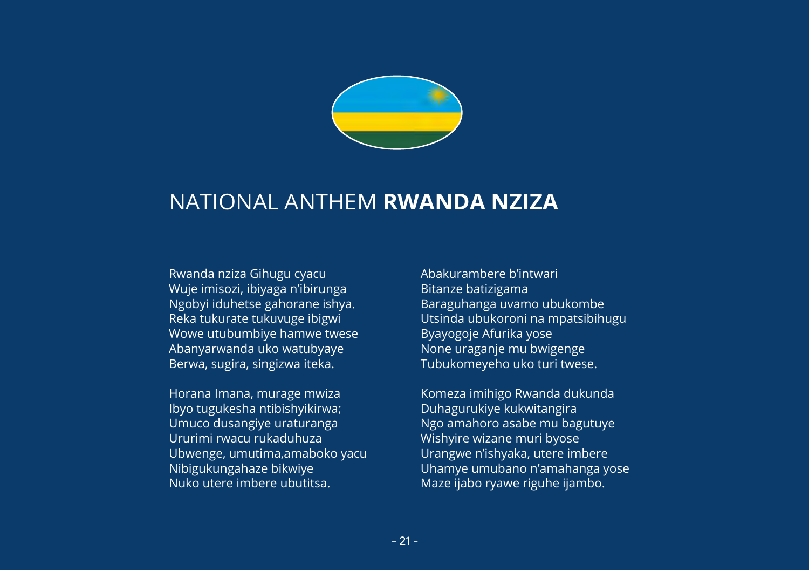

#### NATIONAL ANTHEM **RWANDA NZIZA**

Rwanda nziza Gihugu cyacu Wuje imisozi, ibiyaga n'ibirunga Ngobyi iduhetse gahorane ishya. Reka tukurate tukuvuge ibigwi Wowe utubumbiye hamwe twese Abanyarwanda uko watubyaye Berwa, sugira, singizwa iteka.

Horana Imana, murage mwiza Ibyo tugukesha ntibishyikirwa; Umuco dusangiye uraturanga Ururimi rwacu rukaduhuza Ubwenge, umutima,amaboko yacu Nibigukungahaze bikwiye Nuko utere imbere ubutitsa.

Abakurambere b'intwari Bitanze batizigama Baraguhanga uvamo ubukombe Utsinda ubukoroni na mpatsibihugu Byayogoje Afurika yose None uraganje mu bwigenge Tubukomeyeho uko turi twese.

Komeza imihigo Rwanda dukunda Duhagurukiye kukwitangira Ngo amahoro asabe mu bagutuye Wishyire wizane muri byose Urangwe n'ishyaka, utere imbere Uhamye umubano n'amahanga yose Maze ijabo ryawe riguhe ijambo.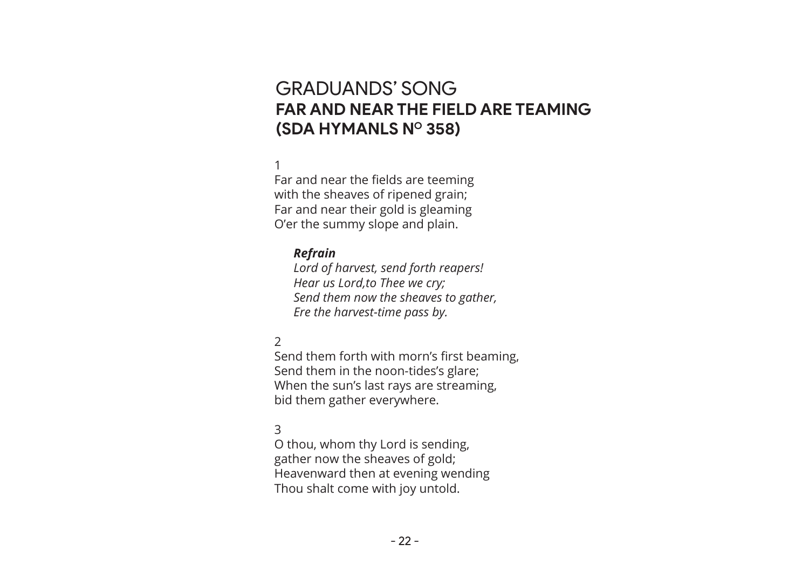#### GRADUANDS' SONG **FAR AND NEAR THE FIELD ARE TEAMING (SDA HYMANLS NO 358)**

#### 1

Far and near the fields are teeming with the sheaves of ripened grain; Far and near their gold is gleaming O'er the summy slope and plain.

#### *Refrain*

*Lord of harvest, send forth reapers! Hear us Lord,to Thee we cry; Send them now the sheaves to gather, Ere the harvest-time pass by.*

#### $\mathcal{P}$

Send them forth with morn's first beaming, Send them in the noon-tides's glare; When the sun's last rays are streaming, bid them gather everywhere.

#### 3

O thou, whom thy Lord is sending, gather now the sheaves of gold; Heavenward then at evening wending Thou shalt come with joy untold.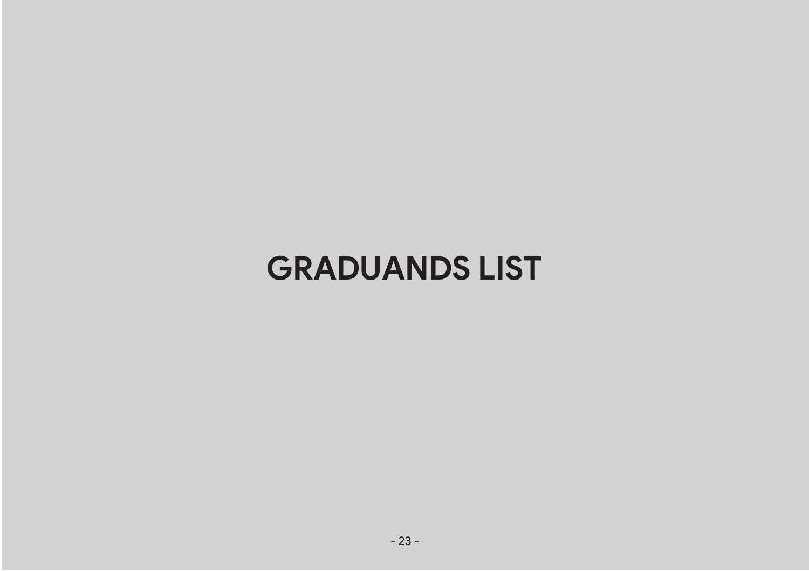# **GRADUANDS LIST**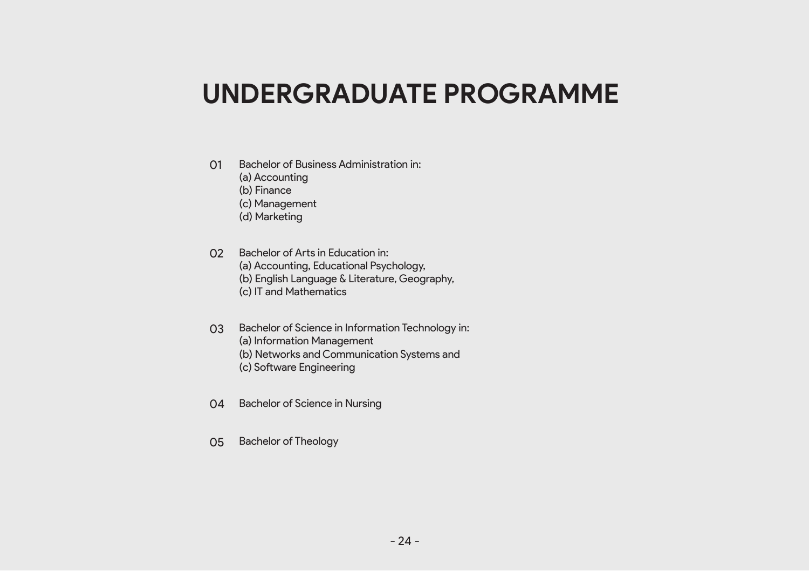# **UNDERGRADUATE PROGRAMME**

- 01 Bachelor of Business Administration in:
	- (a) Accounting
	- (b) Finance
	- (c) Management
	- (d) Marketing
- 02 Bachelor of Arts in Education in: (a) Accounting, Educational Psychology, (b) English Language & Literature, Geography, (c) IT and Mathematics
- 03 Bachelor of Science in Information Technology in:
	- (a) Information Management
	- (b) Networks and Communication Systems and
	- (c) Software Engineering
- 04 Bachelor of Science in Nursing
- 05 Bachelor of Theology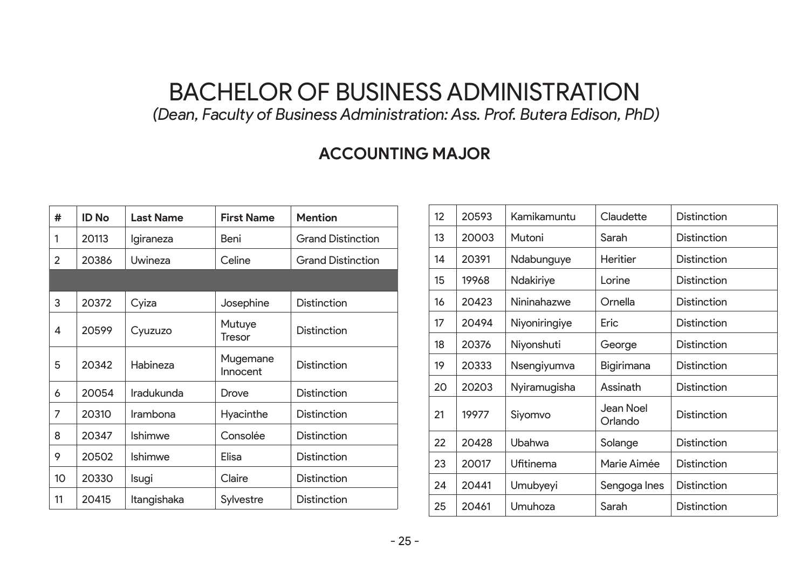## BACHELOR OF BUSINESS ADMINISTRATION

 *(Dean, Faculty of Business Administration: Ass. Prof. Butera Edison, PhD)*

#### **ACCOUNTING MAJOR**

| #  | <b>ID No</b> | <b>Last Name</b> | <b>First Name</b>    | <b>Mention</b>           |
|----|--------------|------------------|----------------------|--------------------------|
| 1  | 20113        | Igiraneza        | Beni                 | <b>Grand Distinction</b> |
| 2  | 20386        | Uwineza          | Celine               | <b>Grand Distinction</b> |
|    |              |                  |                      |                          |
| 3  | 20372        | Cyiza            | Josephine            | Distinction              |
| 4  | 20599        | Cyuzuzo          | Mutuye<br>Tresor     | <b>Distinction</b>       |
| 5  | 20342        | Habineza         | Mugemane<br>Innocent | Distinction              |
| 6  | 20054        | Iradukunda       | Drove                | Distinction              |
| 7  | 20310        | Irambona         | Hyacinthe            | Distinction              |
| 8  | 20347        | Ishimwe          | Consolée             | <b>Distinction</b>       |
| 9  | 20502        | Ishimwe          | Elisa                | Distinction              |
| 10 | 20330        | Isugi            | Claire               | <b>Distinction</b>       |
| 11 | 20415        | Itangishaka      | Sylvestre            | Distinction              |

| 12 | 20593 | Kamikamuntu   | Claudette            | Distinction        |
|----|-------|---------------|----------------------|--------------------|
| 13 | 20003 | Mutoni        | Sarah                | Distinction        |
| 14 | 20391 | Ndabunguye    | Heritier             | Distinction        |
| 15 | 19968 | Ndakiriye     | Lorine               | Distinction        |
| 16 | 20423 | Nininahazwe   | Ornella              | Distinction        |
| 17 | 20494 | Niyoniringiye | Eric                 | Distinction        |
| 18 | 20376 | Niyonshuti    | George               | Distinction        |
| 19 | 20333 | Nsengiyumva   | Bigirimana           | Distinction        |
| 20 | 20203 | Nyiramugisha  | Assinath             | Distinction        |
| 21 | 19977 | Siyomvo       | Jean Noel<br>Orlando | Distinction        |
| 22 | 20428 | Ubahwa        | Solange              | Distinction        |
| 23 | 20017 | Ufitinema     | Marie Aimée          | Distinction        |
| 24 | 20441 | Umubyeyi      | Sengoga Ines         | Distinction        |
| 25 | 20461 | Umuhoza       | Sarah                | <b>Distinction</b> |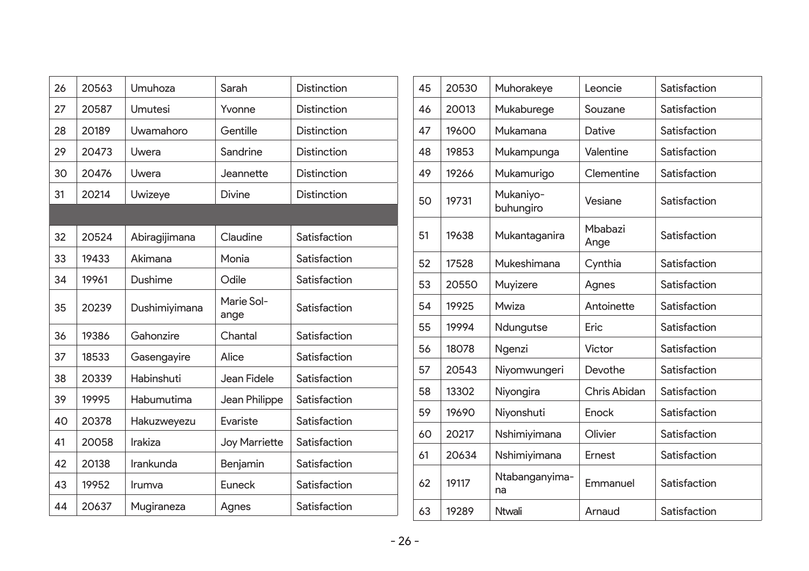| 26 | 20563 | Umuhoza       | Sarah              | Distinction  |
|----|-------|---------------|--------------------|--------------|
| 27 | 20587 | Umutesi       | Yvonne             | Distinction  |
| 28 | 20189 | Uwamahoro     | Gentille           | Distinction  |
| 29 | 20473 | Uwera         | Sandrine           | Distinction  |
| 30 | 20476 | Uwera         | Jeannette          | Distinction  |
| 31 | 20214 | Uwizeye       | Divine             | Distinction  |
|    |       |               |                    |              |
| 32 | 20524 | Abiragijimana | Claudine           | Satisfaction |
| 33 | 19433 | Akimana       | Monia              | Satisfaction |
| 34 | 19961 | Dushime       | Odile              | Satisfaction |
| 35 | 20239 | Dushimiyimana | Marie Sol-<br>ange | Satisfaction |
| 36 | 19386 | Gahonzire     | Chantal            | Satisfaction |
| 37 | 18533 | Gasengayire   | Alice              | Satisfaction |
| 38 | 20339 | Habinshuti    | Jean Fidele        | Satisfaction |
| 39 | 19995 | Habumutima    | Jean Philippe      | Satisfaction |
| 40 | 20378 | Hakuzweyezu   | Evariste           | Satisfaction |
| 41 | 20058 | Irakiza       | Joy Marriette      | Satisfaction |
| 42 | 20138 | Irankunda     | Benjamin           | Satisfaction |
| 43 | 19952 | Irumva        | Euneck             | Satisfaction |
| 44 | 20637 | Mugiraneza    | Agnes              | Satisfaction |
|    |       |               |                    |              |

| 45 | 20530 | Muhorakeye             | Leoncie         | Satisfaction |
|----|-------|------------------------|-----------------|--------------|
| 46 | 20013 | Mukaburege             | Souzane         | Satisfaction |
| 47 | 19600 | Mukamana               | Dative          | Satisfaction |
| 48 | 19853 | Mukampunga             | Valentine       | Satisfaction |
| 49 | 19266 | Mukamurigo             | Clementine      | Satisfaction |
| 50 | 19731 | Mukaniyo-<br>buhungiro | Vesiane         | Satisfaction |
| 51 | 19638 | Mukantaganira          | Mbabazi<br>Ange | Satisfaction |
| 52 | 17528 | Mukeshimana            | Cynthia         | Satisfaction |
| 53 | 20550 | Muyizere               | Agnes           | Satisfaction |
| 54 | 19925 | Mwiza                  | Antoinette      | Satisfaction |
| 55 | 19994 | Ndungutse              | Eric            | Satisfaction |
| 56 | 18078 | Ngenzi                 | Victor          | Satisfaction |
| 57 | 20543 | Niyomwungeri           | Devothe         | Satisfaction |
| 58 | 13302 | Niyongira              | Chris Abidan    | Satisfaction |
| 59 | 19690 | Niyonshuti             | Enock           | Satisfaction |
| 60 | 20217 | Nshimiyimana           | Olivier         | Satisfaction |
| 61 | 20634 | Nshimiyimana           | Ernest          | Satisfaction |
| 62 | 19117 | Ntabanganyima-<br>na   | Emmanuel        | Satisfaction |
| 63 | 19289 | Ntwali                 | Arnaud          | Satisfaction |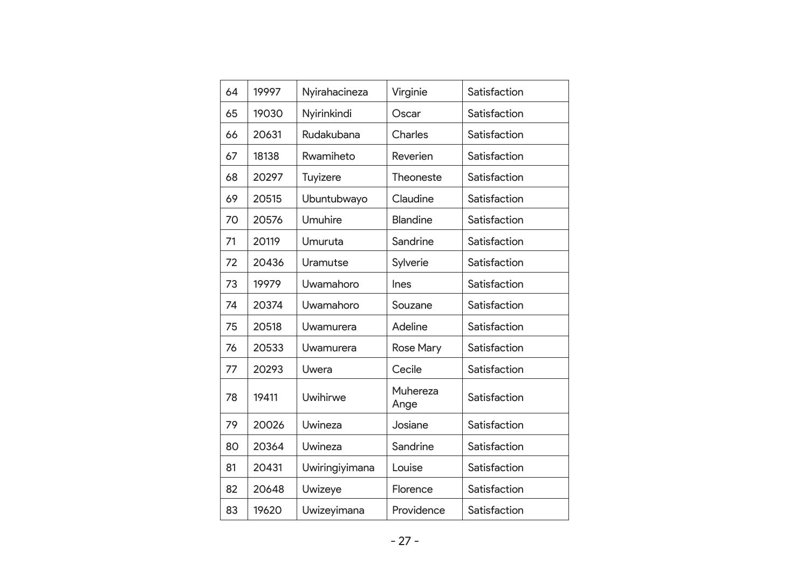| 64 | 19997 | Nyirahacineza  | Virginie         | Satisfaction |
|----|-------|----------------|------------------|--------------|
| 65 | 19030 | Nyirinkindi    | Oscar            | Satisfaction |
| 66 | 20631 | Rudakubana     | Charles          | Satisfaction |
| 67 | 18138 | Rwamiheto      | Reverien         | Satisfaction |
| 68 | 20297 | Tuyizere       | Theoneste        | Satisfaction |
| 69 | 20515 | Ubuntubwayo    | Claudine         | Satisfaction |
| 70 | 20576 | Umuhire        | <b>Blandine</b>  | Satisfaction |
| 71 | 20119 | Umuruta        | Sandrine         | Satisfaction |
| 72 | 20436 | Uramutse       | Sylverie         | Satisfaction |
| 73 | 19979 | Uwamahoro      | Ines             | Satisfaction |
| 74 | 20374 | Uwamahoro      | Souzane          | Satisfaction |
| 75 | 20518 | Uwamurera      | Adeline          | Satisfaction |
| 76 | 20533 | Uwamurera      | <b>Rose Mary</b> | Satisfaction |
| 77 | 20293 | Uwera          | Cecile           | Satisfaction |
| 78 | 19411 | Uwihirwe       | Muhereza<br>Ange | Satisfaction |
| 79 | 20026 | Uwineza        | Josiane          | Satisfaction |
| 80 | 20364 | Uwineza        | Sandrine         | Satisfaction |
| 81 | 20431 | Uwiringiyimana | Louise           | Satisfaction |
| 82 | 20648 | Uwizeye        | Florence         | Satisfaction |
| 83 | 19620 | Uwizeyimana    | Providence       | Satisfaction |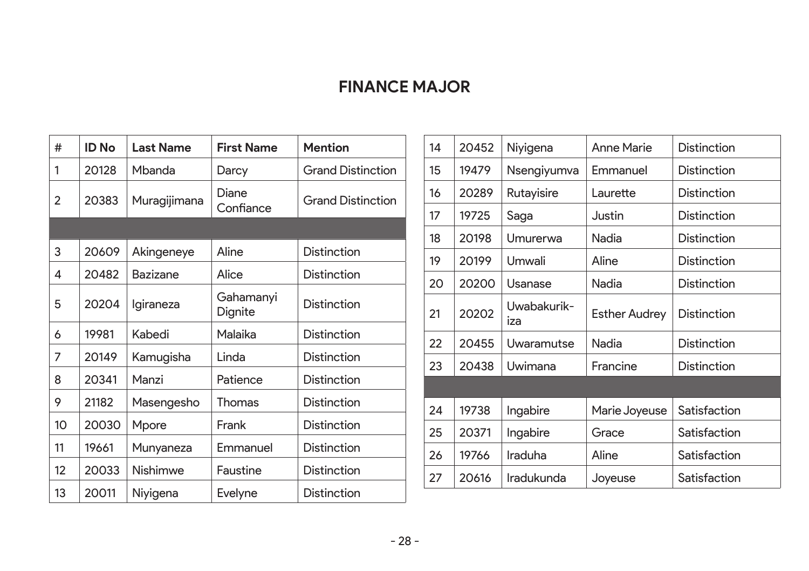#### **FINANCE MAJOR**

| #              | <b>ID No</b> | <b>Last Name</b> | <b>First Name</b>    | <b>Mention</b>           |
|----------------|--------------|------------------|----------------------|--------------------------|
| 1              | 20128        | Mbanda           | Darcy                | <b>Grand Distinction</b> |
| $\mathfrak{p}$ | 20383        | Muragijimana     | Diane<br>Confiance   | <b>Grand Distinction</b> |
|                |              |                  |                      |                          |
| 3              | 20609        | Akingeneye       | Aline                | Distinction              |
| 4              | 20482        | Bazizane         | Alice                | <b>Distinction</b>       |
| 5              | 20204        | Igiraneza        | Gahamanyi<br>Dignite | Distinction              |
| 6              | 19981        | Kabedi           | Malaika              | <b>Distinction</b>       |
| 7              | 20149        | Kamugisha        | Linda                | Distinction              |
| 8              | 20341        | Manzi            | Patience             | <b>Distinction</b>       |
| 9              | 21182        | Masengesho       | Thomas               | <b>Distinction</b>       |
| 10             | 20030        | Mpore            | Frank                | Distinction              |
| 11             | 19661        | Munyaneza        | Emmanuel             | <b>Distinction</b>       |
| 12             | 20033        | Nishimwe         | Faustine             | <b>Distinction</b>       |
| 13             | 20011        | Niyigena         | Evelyne              | <b>Distinction</b>       |

| 14 | 20452 | Niyigena           | Anne Marie           | <b>Distinction</b> |
|----|-------|--------------------|----------------------|--------------------|
| 15 | 19479 | Nsengiyumva        | Emmanuel             | Distinction        |
| 16 | 20289 | Rutayisire         | Laurette             | <b>Distinction</b> |
| 17 | 19725 | Saga               | Justin               | <b>Distinction</b> |
| 18 | 20198 | Umurerwa           | Nadia                | <b>Distinction</b> |
| 19 | 20199 | Umwali             | Aline                | <b>Distinction</b> |
| 20 | 20200 | Usanase            | Nadia                | <b>Distinction</b> |
| 21 | 20202 | Uwabakurik-<br>iza | <b>Esther Audrey</b> | <b>Distinction</b> |
| 22 | 20455 | Uwaramutse         | Nadia                | Distinction        |
| 23 | 20438 | Uwimana            | Francine             | Distinction        |
|    |       |                    |                      |                    |
| 24 | 19738 | Ingabire           | Marie Joyeuse        | Satisfaction       |
| 25 | 20371 | Ingabire           | Grace                | Satisfaction       |
| 26 | 19766 | Iraduha            | Aline                | Satisfaction       |
| 27 | 20616 | <b>Iradukunda</b>  | Joyeuse              | Satisfaction       |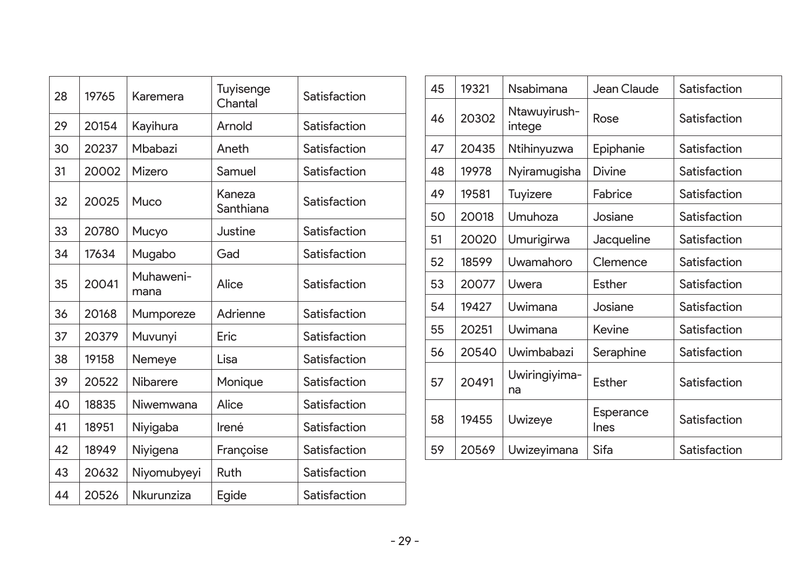| 28 | 19765 | Karemera          | Tuyisenge<br>Chantal | Satisfaction |
|----|-------|-------------------|----------------------|--------------|
| 29 | 20154 | Kayihura          | Arnold               | Satisfaction |
| 30 | 20237 | Mbabazi           | Aneth                | Satisfaction |
| 31 | 20002 | Mizero            | Samuel               | Satisfaction |
| 32 | 20025 | Muco              | Kaneza<br>Santhiana  | Satisfaction |
| 33 | 20780 | Mucyo             | Justine              | Satisfaction |
| 34 | 17634 | Mugabo            | Gad                  | Satisfaction |
| 35 | 20041 | Muhaweni-<br>mana | Alice                | Satisfaction |
| 36 | 20168 | Mumporeze         | Adrienne             | Satisfaction |
| 37 | 20379 | Muvunyi           | Eric                 | Satisfaction |
| 38 | 19158 | Nemeye            | Lisa                 | Satisfaction |
| 39 | 20522 | <b>Nibarere</b>   | Monique              | Satisfaction |
| 40 | 18835 | Niwemwana         | Alice                | Satisfaction |
| 41 | 18951 | Niyigaba          | Irené                | Satisfaction |
| 42 | 18949 | Niyigena          | Françoise            | Satisfaction |
| 43 | 20632 | Niyomubyeyi       | Ruth                 | Satisfaction |
| 44 | 20526 | Nkurunziza        | Egide                | Satisfaction |
|    |       |                   |                      |              |

| 45 | 19321 | Nsabimana              | Jean Claude              | Satisfaction |
|----|-------|------------------------|--------------------------|--------------|
| 46 | 20302 | Ntawuyirush-<br>intege | Rose                     | Satisfaction |
| 47 | 20435 | Ntihinyuzwa            | Epiphanie                | Satisfaction |
| 48 | 19978 | Nyiramugisha           | Divine                   | Satisfaction |
| 49 | 19581 | Tuyizere               | Fabrice                  | Satisfaction |
| 50 | 20018 | Umuhoza                | Josiane                  | Satisfaction |
| 51 | 20020 | Umurigirwa             | Jacqueline               | Satisfaction |
| 52 | 18599 | Uwamahoro              | Clemence                 | Satisfaction |
| 53 | 20077 | Uwera                  | Esther                   | Satisfaction |
| 54 | 19427 | Uwimana                | Josiane                  | Satisfaction |
| 55 | 20251 | Uwimana                | Kevine                   | Satisfaction |
| 56 | 20540 | Uwimbabazi             | Seraphine                | Satisfaction |
| 57 | 20491 | Uwiringiyima-<br>na    | Esther                   | Satisfaction |
| 58 | 19455 | Uwizeye                | Esperance<br><b>Ines</b> | Satisfaction |
| 59 | 20569 | Uwizeyimana            | Sifa                     | Satisfaction |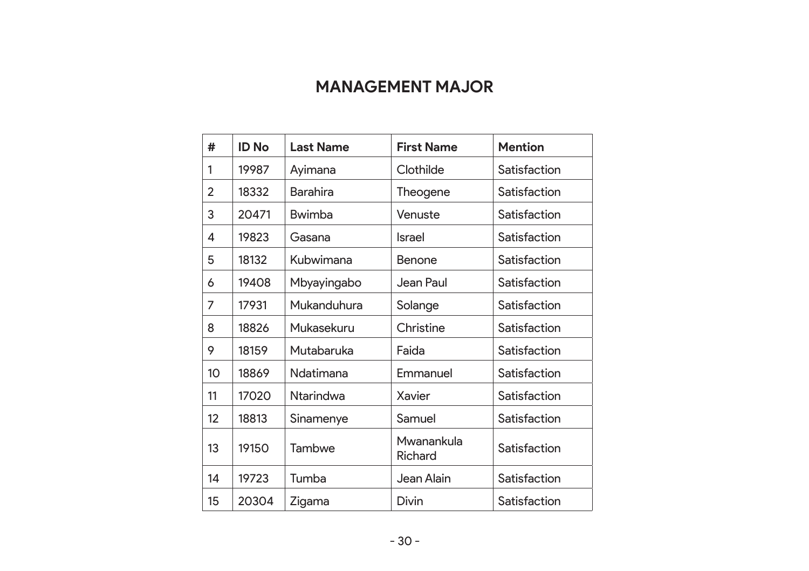#### **MANAGEMENT MAJOR**

| #  | ID No | <b>Last Name</b> | <b>First Name</b>     | <b>Mention</b> |
|----|-------|------------------|-----------------------|----------------|
| 1  | 19987 | Ayimana          | Clothilde             | Satisfaction   |
| 2  | 18332 | Barahira         | Theogene              | Satisfaction   |
| 3  | 20471 | Bwimba           | Venuste               | Satisfaction   |
| 4  | 19823 | Gasana           | <b>Israel</b>         | Satisfaction   |
| 5  | 18132 | Kubwimana        | Benone                | Satisfaction   |
| 6  | 19408 | Mbyayingabo      | Jean Paul             | Satisfaction   |
| 7  | 17931 | Mukanduhura      | Solange               | Satisfaction   |
| 8  | 18826 | Mukasekuru       | Christine             | Satisfaction   |
| 9  | 18159 | Mutabaruka       | Faida                 | Satisfaction   |
| 10 | 18869 | Ndatimana        | Emmanuel              | Satisfaction   |
| 11 | 17020 | Ntarindwa        | Xavier                | Satisfaction   |
| 12 | 18813 | Sinamenye        | Samuel                | Satisfaction   |
| 13 | 19150 | Tambwe           | Mwanankula<br>Richard | Satisfaction   |
| 14 | 19723 | Tumba            | Jean Alain            | Satisfaction   |
| 15 | 20304 | Zigama           | <b>Divin</b>          | Satisfaction   |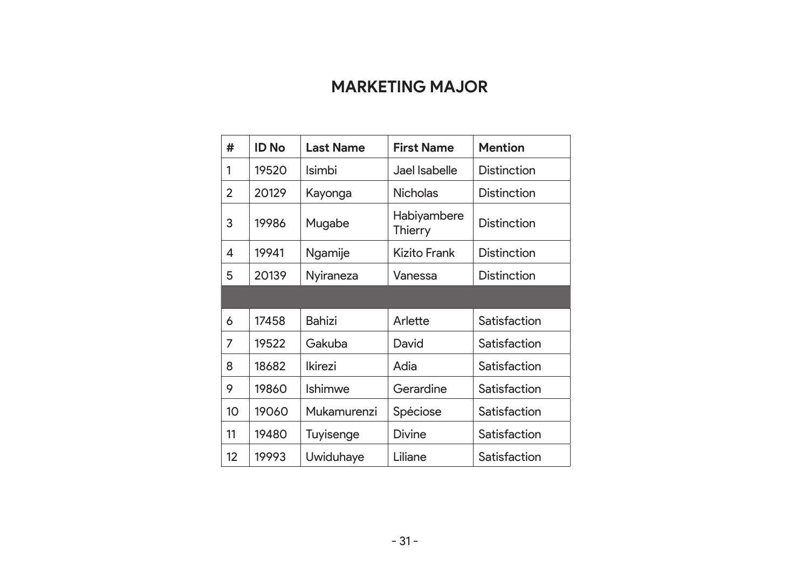#### **MARKETING MAJOR**

| #              | ID No | <b>Last Name</b> | <b>First Name</b>      | <b>Mention</b> |
|----------------|-------|------------------|------------------------|----------------|
| 1              | 19520 | Isimbi           | Jael Isabelle          | Distinction    |
| $\overline{2}$ | 20129 | Kayonga          | <b>Nicholas</b>        | Distinction    |
| 3              | 19986 | Mugabe           | Habiyambere<br>Thierry | Distinction    |
| 4              | 19941 | Ngamije          | Kizito Frank           | Distinction    |
| 5              | 20139 | Nyiraneza        | Vanessa                | Distinction    |
|                |       |                  |                        |                |
| 6              | 17458 | Bahizi           | Arlette                | Satisfaction   |
| 7              | 19522 | Gakuba           | David                  | Satisfaction   |
| 8              | 18682 | <b>Ikirezi</b>   | Adia                   | Satisfaction   |
| 9              | 19860 | Ishimwe          | Gerardine              | Satisfaction   |
| 10             | 19060 | Mukamurenzi      | Spéciose               | Satisfaction   |
| 11             | 19480 | Tuyisenge        | Divine                 | Satisfaction   |
| 12             | 19993 | Uwiduhaye        | Liliane                | Satisfaction   |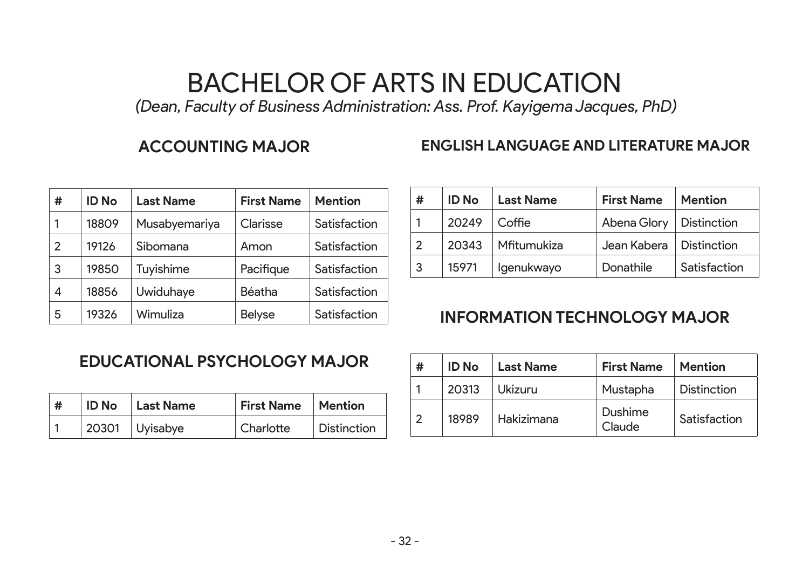# BACHELOR OF ARTS IN EDUCATION

 *(Dean, Faculty of Business Administration: Ass. Prof. Kayigema Jacques, PhD)*

#### **ACCOUNTING MAJOR**

#### **ENGLISH LANGUAGE AND LITERATURE MAJOR**

| # | <b>ID No</b> | <b>Last Name</b> | <b>First Name</b> | <b>Mention</b> |
|---|--------------|------------------|-------------------|----------------|
|   | 18809        | Musabyemariya    | Clarisse          | Satisfaction   |
| 2 | 19126        | Sibomana         | Amon              | Satisfaction   |
| 3 | 19850        | Tuyishime        | Pacifique         | Satisfaction   |
| 4 | 18856        | Uwiduhaye        | Béatha            | Satisfaction   |
| 5 | 19326        | Wimuliza         | <b>Belyse</b>     | Satisfaction   |

| #              | <b>ID</b> No | <b>Last Name</b> | <b>First Name</b>         | <b>Mention</b> |
|----------------|--------------|------------------|---------------------------|----------------|
|                | 20249        | Coffie           | Abena Glory   Distinction |                |
| $\mathfrak{p}$ | 20343        | Mfitumukiza      | Jean Kabera   Distinction |                |
| 3              | 15971        | lgenukwayo       | Donathile                 | Satisfaction   |

#### **INFORMATION TECHNOLOGY MAJOR**

#### **EDUCATIONAL PSYCHOLOGY MAJOR**

| ∣# | <b>ID No</b>   Last Name | First Name   Mention |                    |
|----|--------------------------|----------------------|--------------------|
|    | $20301$ Uyisabye         | Charlotte            | <b>Distinction</b> |

| # | <b>ID</b> No | <b>Last Name</b> | <b>First Name</b> | <b>Mention</b>     |
|---|--------------|------------------|-------------------|--------------------|
|   | 20313        | Ukizuru          | Mustapha          | <b>Distinction</b> |
| 2 | 18989        | Hakizimana       | Dushime<br>Claude | Satisfaction       |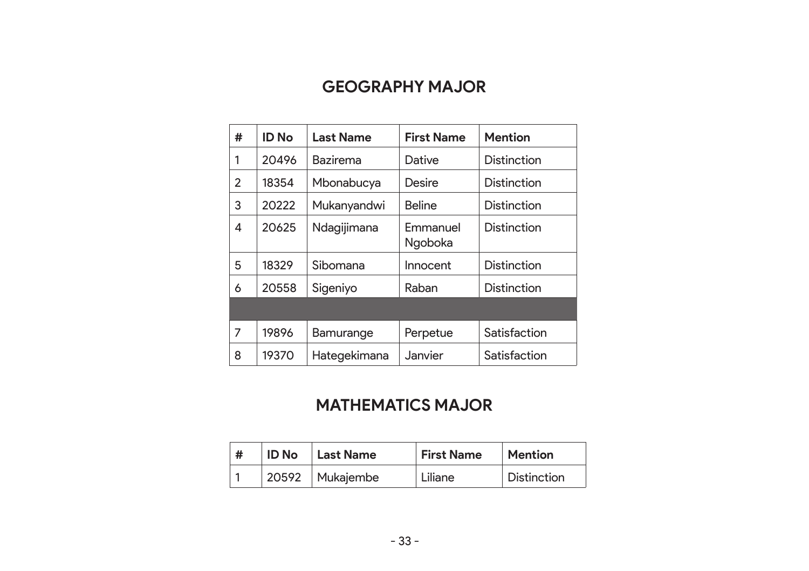#### **GEOGRAPHY MAJOR**

| # | ID No | <b>Last Name</b> | <b>First Name</b>   | <b>Mention</b>     |
|---|-------|------------------|---------------------|--------------------|
| 1 | 20496 | Bazirema         | Dative              | <b>Distinction</b> |
| 2 | 18354 | Mbonabucya       | Desire              | <b>Distinction</b> |
| 3 | 20222 | Mukanyandwi      | <b>Beline</b>       | Distinction        |
| 4 | 20625 | Ndagijimana      | Emmanuel<br>Ngoboka | <b>Distinction</b> |
| 5 | 18329 | Sibomana         | Innocent            | <b>Distinction</b> |
| 6 | 20558 | Sigeniyo         | Raban               | <b>Distinction</b> |
|   |       |                  |                     |                    |
| 7 | 19896 | Bamurange        | Perpetue            | Satisfaction       |
| 8 | 19370 | Hategekimana     | Janvier             | Satisfaction       |

#### **MATHEMATICS MAJOR**

| # | <b>ID No</b> | <b>Last Name</b>  | <b>First Name</b> | <b>Mention</b>     |
|---|--------------|-------------------|-------------------|--------------------|
|   |              | 20592   Mukajembe | Liliane           | <b>Distinction</b> |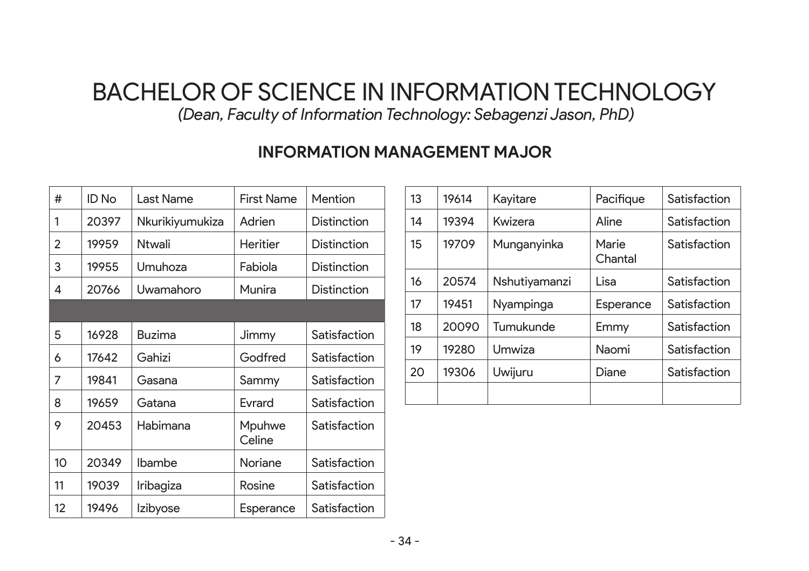## BACHELOR OF SCIENCE IN INFORMATION TECHNOLOGY

 *(Dean, Faculty of Information Technology: Sebagenzi Jason, PhD)*

#### **INFORMATION MANAGEMENT MAJOR**

| #                | ID No | Last Name       | <b>First Name</b> | Mention            |
|------------------|-------|-----------------|-------------------|--------------------|
| 1                | 20397 | Nkurikiyumukiza | Adrien            | Distinction        |
| 2                | 19959 | Ntwali          | Heritier          | Distinction        |
| 3                | 19955 | Umuhoza         | Fabiola           | <b>Distinction</b> |
| 4                | 20766 | Uwamahoro       | Munira            | Distinction        |
|                  |       |                 |                   |                    |
| 5                | 16928 | Buzima          | Jimmy             | Satisfaction       |
| 6                | 17642 | Gahizi          | Godfred           | Satisfaction       |
| 7                | 19841 | Gasana          | Sammy             | Satisfaction       |
| 8                | 19659 | Gatana          | Evrard            | Satisfaction       |
| 9                | 20453 | Habimana        | Mpuhwe<br>Celine  | Satisfaction       |
| 10 <sup>10</sup> | 20349 | Ibambe          | Noriane           | Satisfaction       |
| 11               | 19039 | Iribagiza       | Rosine            | Satisfaction       |
| 12               | 19496 | <b>Izibyose</b> | Esperance         | Satisfaction       |

| 13 | 19614 | Kayitare      | Pacifique        | Satisfaction |
|----|-------|---------------|------------------|--------------|
| 14 | 19394 | Kwizera       | Aline            | Satisfaction |
| 15 | 19709 | Munganyinka   | Marie<br>Chantal | Satisfaction |
| 16 | 20574 | Nshutiyamanzi | Lisa             | Satisfaction |
| 17 | 19451 | Nyampinga     | Esperance        | Satisfaction |
| 18 | 20090 | Tumukunde     | Emmy             | Satisfaction |
| 19 | 19280 | Umwiza        | Naomi            | Satisfaction |
| 20 | 19306 | Uwijuru       | Diane            | Satisfaction |
|    |       |               |                  |              |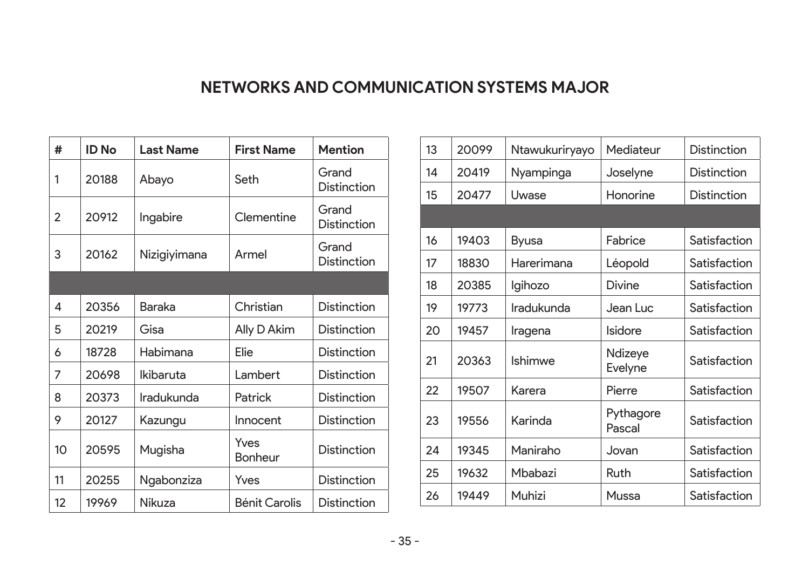#### **NETWORKS AND COMMUNICATION SYSTEMS MAJOR**

| #              | <b>ID No</b> | <b>Last Name</b> | <b>First Name</b>      | <b>Mention</b>              |
|----------------|--------------|------------------|------------------------|-----------------------------|
| 1              | 20188        | Abayo            | Seth                   | Grand<br>Distinction        |
| $\mathfrak{p}$ | 20912        | Ingabire         | Clementine             | Grand<br><b>Distinction</b> |
| 3              | 20162        | Nizigiyimana     | Armel                  | Grand<br><b>Distinction</b> |
|                |              |                  |                        |                             |
| 4              | 20356        | Baraka           | Christian              | <b>Distinction</b>          |
| 5              | 20219        | Gisa             | Ally D Akim            | <b>Distinction</b>          |
| 6              | 18728        | Habimana         | Elie                   | <b>Distinction</b>          |
| 7              | 20698        | Ikibaruta        | Lambert                | <b>Distinction</b>          |
| 8              | 20373        | Iradukunda       | Patrick                | <b>Distinction</b>          |
| 9              | 20127        | Kazungu          | Innocent               | Distinction                 |
| 10             | 20595        | Mugisha          | Yves<br><b>Bonheur</b> | <b>Distinction</b>          |
| 11             | 20255        | Ngabonziza       | Yves                   | <b>Distinction</b>          |
| 12             | 19969        | Nikuza           | Bénit Carolis          | Distinction                 |

| 13 | 20099 | Ntawukuriryayo | Mediateur           | Distinction  |
|----|-------|----------------|---------------------|--------------|
| 14 | 20419 | Nyampinga      | Joselyne            | Distinction  |
| 15 | 20477 | Uwase          | Honorine            | Distinction  |
|    |       |                |                     |              |
| 16 | 19403 | <b>Byusa</b>   | Fabrice             | Satisfaction |
| 17 | 18830 | Harerimana     | Léopold             | Satisfaction |
| 18 | 20385 | Igihozo        | Divine              | Satisfaction |
| 19 | 19773 | Iradukunda     | Jean Luc            | Satisfaction |
| 20 | 19457 | Iragena        | Isidore             | Satisfaction |
| 21 | 20363 | Ishimwe        | Ndizeye<br>Evelyne  | Satisfaction |
| 22 | 19507 | Karera         | Pierre              | Satisfaction |
| 23 | 19556 | Karinda        | Pythagore<br>Pascal | Satisfaction |
| 24 | 19345 | Maniraho       | Jovan               | Satisfaction |
| 25 | 19632 | Mbabazi        | Ruth                | Satisfaction |
| 26 | 19449 | Muhizi         | Mussa               | Satisfaction |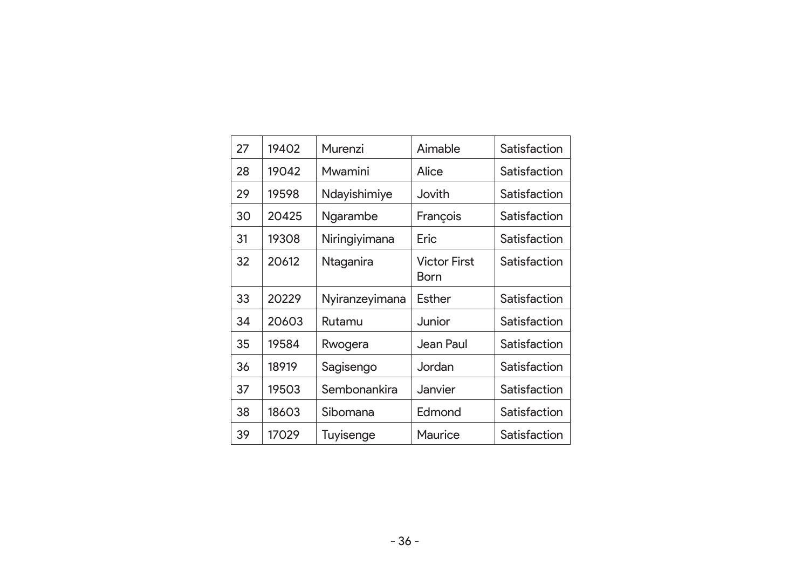| 27 | 19402 | Murenzi        | Aimable                     | Satisfaction |
|----|-------|----------------|-----------------------------|--------------|
| 28 | 19042 | Mwamini        | Alice                       | Satisfaction |
| 29 | 19598 | Ndayishimiye   | Jovith                      | Satisfaction |
| 30 | 20425 | Ngarambe       | François                    | Satisfaction |
| 31 | 19308 | Niringiyimana  | Eric                        | Satisfaction |
| 32 | 20612 | Ntaganira      | <b>Victor First</b><br>Born | Satisfaction |
| 33 | 20229 | Nyiranzeyimana | Esther                      | Satisfaction |
| 34 | 20603 | Rutamu         | Junior                      | Satisfaction |
| 35 | 19584 | Rwogera        | Jean Paul                   | Satisfaction |
| 36 | 18919 | Sagisengo      | Jordan.                     | Satisfaction |
| 37 | 19503 | Sembonankira   | Janvier                     | Satisfaction |
| 38 | 18603 | Sibomana       | Edmond                      | Satisfaction |
| 39 | 17029 | Tuyisenge      | Maurice                     | Satisfaction |
|    |       |                |                             |              |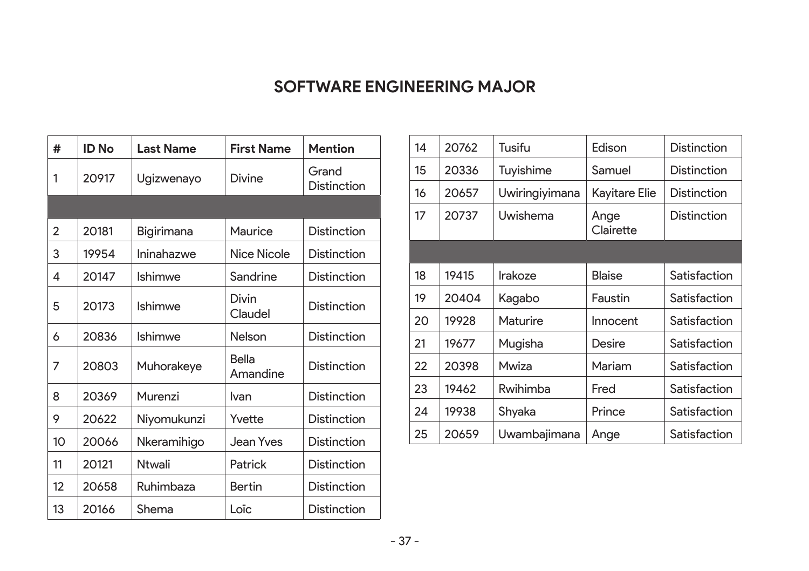#### **SOFTWARE ENGINEERING MAJOR**

| #              | ID No | <b>Last Name</b> | <b>First Name</b> | <b>Mention</b>              |
|----------------|-------|------------------|-------------------|-----------------------------|
| 1              | 20917 | Ugizwenayo       | Divine            | Grand<br><b>Distinction</b> |
|                |       |                  |                   |                             |
| $\mathfrak{p}$ | 20181 | Bigirimana       | Maurice           | Distinction                 |
| 3              | 19954 | Ininahazwe       | Nice Nicole       | Distinction                 |
| 4              | 20147 | Ishimwe          | Sandrine          | Distinction                 |
| 5              | 20173 | <b>Ishimwe</b>   | Divin<br>Claudel  | Distinction                 |
| 6              | 20836 | Ishimwe          | Nelson            | Distinction                 |
| 7              | 20803 | Muhorakeye       | Bella<br>Amandine | Distinction                 |
| 8              | 20369 | Murenzi          | Ivan              | <b>Distinction</b>          |
| 9              | 20622 | Niyomukunzi      | Yvette            | Distinction                 |
| 10             | 20066 | Nkeramihigo      | Jean Yves         | <b>Distinction</b>          |
| 11             | 20121 | <b>Ntwali</b>    | Patrick           | Distinction                 |
| 12             | 20658 | Ruhimbaza        | <b>Bertin</b>     | Distinction                 |
| 13             | 20166 | Shema            | Loïc              | Distinction                 |

| 14 | 20762 | Tusifu         | Edison            | <b>Distinction</b> |
|----|-------|----------------|-------------------|--------------------|
| 15 | 20336 | Tuyishime      | Samuel            | Distinction        |
| 16 | 20657 | Uwiringiyimana | Kayitare Elie     | Distinction        |
| 17 | 20737 | Uwishema       | Ange<br>Clairette | Distinction        |
|    |       |                |                   |                    |
| 18 | 19415 | Irakoze        | <b>Blaise</b>     | Satisfaction       |
| 19 | 20404 | Kagabo         | Faustin           | Satisfaction       |
| 20 | 19928 | Maturire       | Innocent          | Satisfaction       |
| 21 | 19677 | Mugisha        | Desire            | Satisfaction       |
| 22 | 20398 | Mwiza          | Mariam            | Satisfaction       |
| 23 | 19462 | Rwihimba       | Fred              | Satisfaction       |
| 24 | 19938 | Shyaka         | Prince            | Satisfaction       |
| 25 | 20659 | Uwambajimana   | Ange              | Satisfaction       |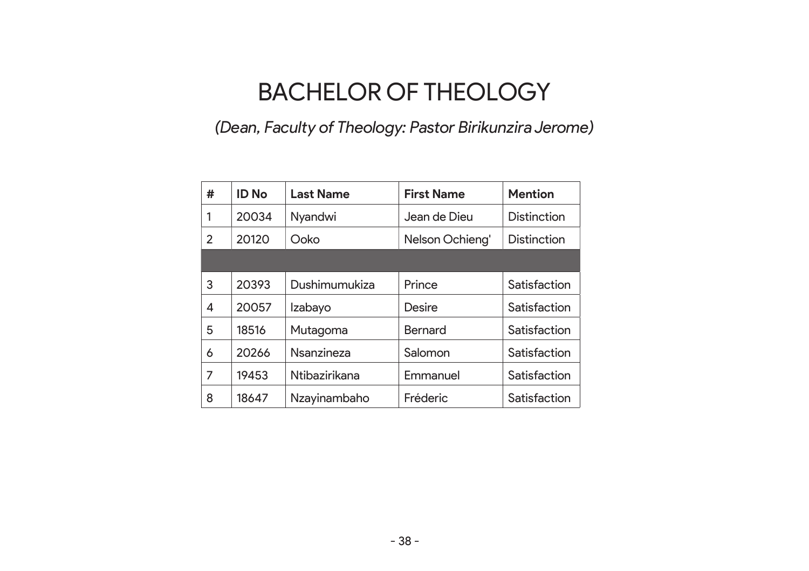# BACHELOR OF THEOLOGY

#### *(Dean, Faculty of Theology: Pastor Birikunzira Jerome)*

| # | <b>ID No</b> | <b>Last Name</b> | <b>First Name</b> | <b>Mention</b> |
|---|--------------|------------------|-------------------|----------------|
| 1 | 20034        | Nyandwi          | Jean de Dieu      | Distinction    |
| 2 | 20120        | Ooko             | Nelson Ochieng'   | Distinction    |
|   |              |                  |                   |                |
| 3 | 20393        | Dushimumukiza    | Prince            | Satisfaction   |
| 4 | 20057        | Izabayo          | Desire            | Satisfaction   |
| 5 | 18516        | Mutagoma         | Bernard           | Satisfaction   |
| 6 | 20266        | Nsanzineza       | Salomon           | Satisfaction   |
| 7 | 19453        | Ntibazirikana    | Emmanuel          | Satisfaction   |
| 8 | 18647        | Nzayinambaho     | Fréderic          | Satisfaction   |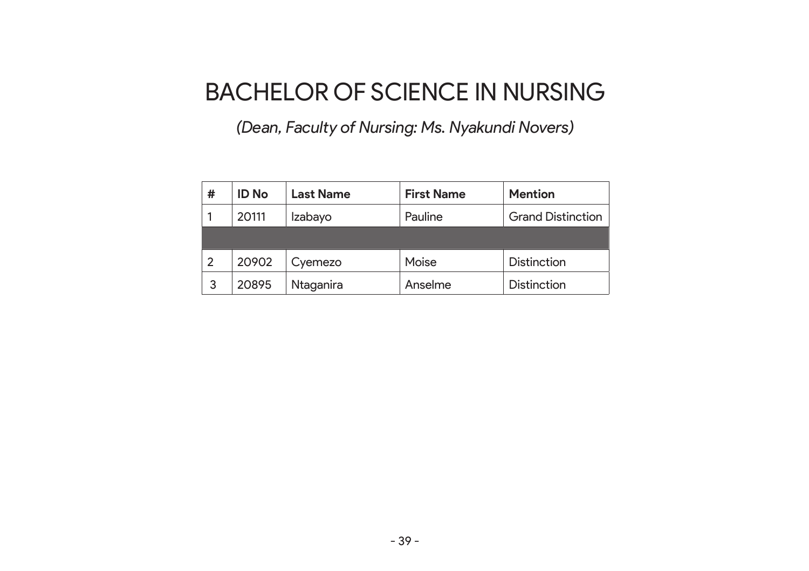## BACHELOR OF SCIENCE IN NURSING

*(Dean, Faculty of Nursing: Ms. Nyakundi Novers)*

| # | <b>ID No</b> | <b>Last Name</b> | <b>First Name</b> | <b>Mention</b>           |
|---|--------------|------------------|-------------------|--------------------------|
|   | 20111        | Izabayo          | Pauline           | <b>Grand Distinction</b> |
|   |              |                  |                   |                          |
| 2 | 20902        | Cyemezo          | Moise             | <b>Distinction</b>       |
| 3 | 20895        | Ntaganira        | Anselme           | <b>Distinction</b>       |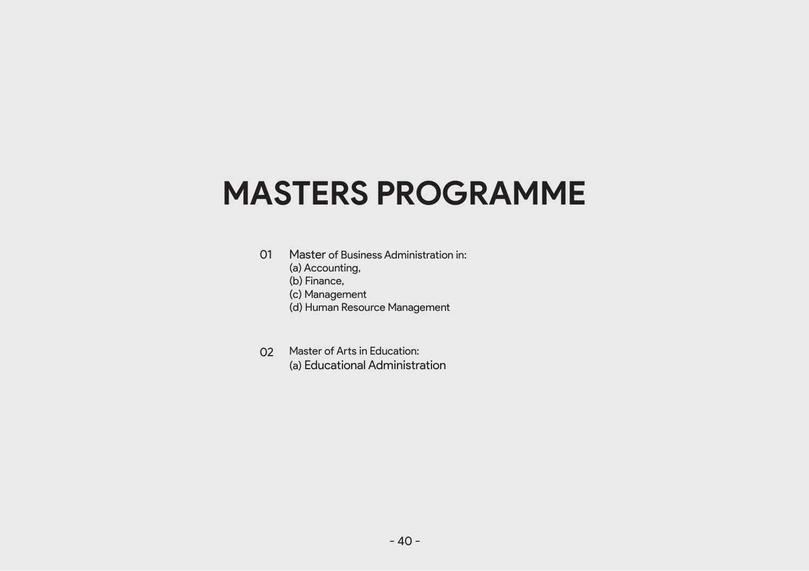# **MASTERS PROGRAMME**

- 01 Master of Business Administration in:
	- (a) Accounting,
	- (b) Finance,
	- (c) Management
	- (d) Human Resource Management
- 02 Master of Arts in Education: (a) Educational Administration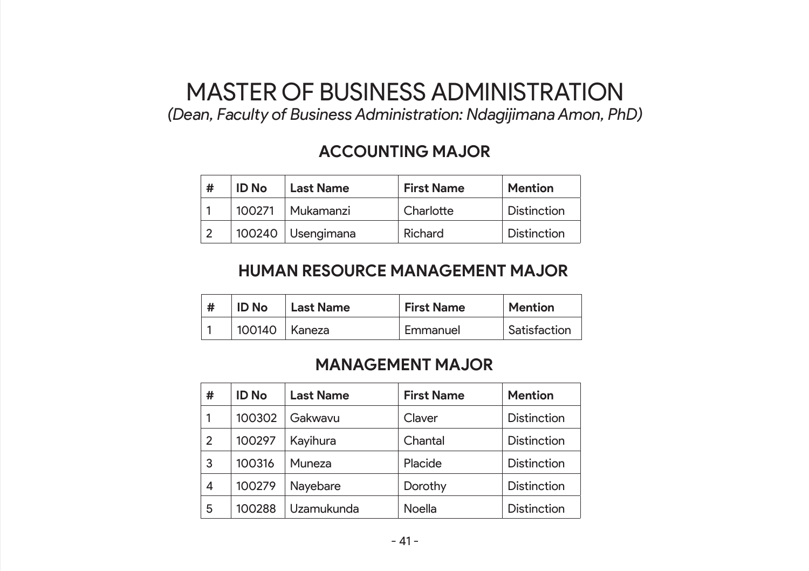## MASTER OF BUSINESS ADMINISTRATION

*(Dean, Faculty of Business Administration: Ndagijimana Amon, PhD)*

#### **ACCOUNTING MAJOR**

| # | <b>ID</b> No | <b>Last Name</b>    | <b>First Name</b> | <b>Mention</b>     |
|---|--------------|---------------------|-------------------|--------------------|
|   | 100271       | Mukamanzi           | Charlotte         | <b>Distinction</b> |
|   |              | 100240   Usengimana | Richard           | <b>Distinction</b> |

#### **HUMAN RESOURCE MANAGEMENT MAJOR**

| <b>ID No</b>    | <b>Last Name</b> | <b>First Name</b> | Mention      |
|-----------------|------------------|-------------------|--------------|
| 100140   Kaneza |                  | Emmanuel          | Satisfaction |

#### **MANAGEMENT MAJOR**

| # | <b>ID No</b> | <b>Last Name</b> | <b>First Name</b> | <b>Mention</b>     |
|---|--------------|------------------|-------------------|--------------------|
|   | 100302       | Gakwavu          | Claver            | <b>Distinction</b> |
| 2 | 100297       | Kayihura         | Chantal           | <b>Distinction</b> |
| 3 | 100316       | Muneza           | Placide           | <b>Distinction</b> |
| 4 | 100279       | Nayebare         | Dorothy           | <b>Distinction</b> |
| 5 | 100288       | Uzamukunda       | Noella            | <b>Distinction</b> |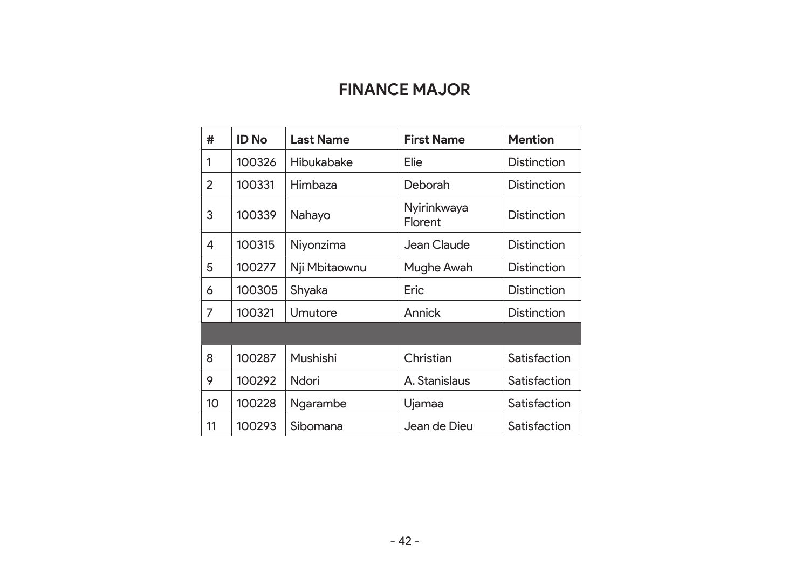#### **FINANCE MAJOR**

| #               | <b>ID No</b> | <b>Last Name</b>  | <b>First Name</b>      | <b>Mention</b>     |
|-----------------|--------------|-------------------|------------------------|--------------------|
| 1               | 100326       | <b>Hibukabake</b> | Elie                   | <b>Distinction</b> |
| 2               | 100331       | Himbaza           | Deborah                | Distinction        |
| 3               | 100339       | Nahayo            | Nyirinkwaya<br>Florent | Distinction        |
| 4               | 100315       | Niyonzima         | Jean Claude            | <b>Distinction</b> |
| 5               | 100277       | Nji Mbitaownu     | Mughe Awah             | Distinction        |
| 6               | 100305       | Shyaka            | Eric                   | <b>Distinction</b> |
| 7               | 100321       | Umutore           | Annick                 | Distinction        |
|                 |              |                   |                        |                    |
| 8               | 100287       | Mushishi          | Christian              | Satisfaction       |
| 9               | 100292       | Ndori             | A. Stanislaus          | Satisfaction       |
| 10 <sup>2</sup> | 100228       | Ngarambe          | Ujamaa                 | Satisfaction       |
| 11              | 100293       | Sibomana          | Jean de Dieu           | Satisfaction       |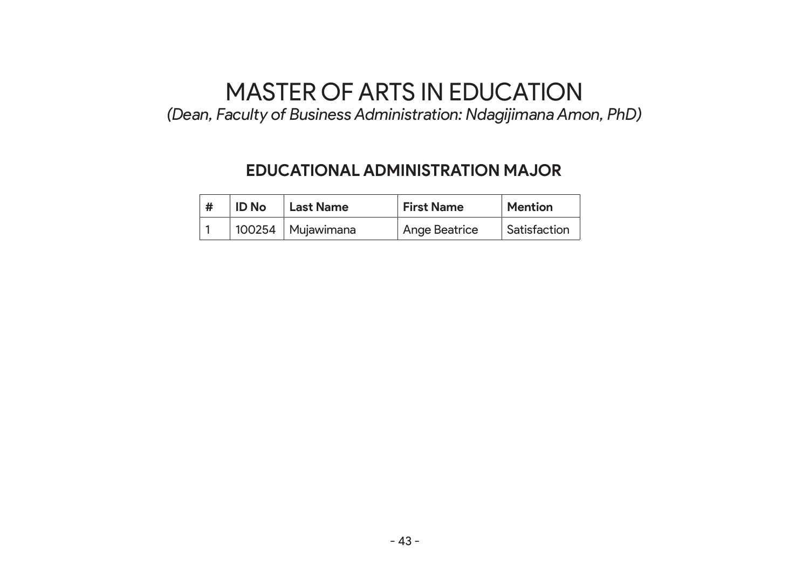# MASTER OF ARTS IN EDUCATION

*(Dean, Faculty of Business Administration: Ndagijimana Amon, PhD)*

#### **EDUCATIONAL ADMINISTRATION MAJOR**

| <b>ID No</b> | Last Name           | <b>First Name</b> | <b>Mention</b> |
|--------------|---------------------|-------------------|----------------|
|              | 100254   Mujawimana | Ange Beatrice     | Satisfaction   |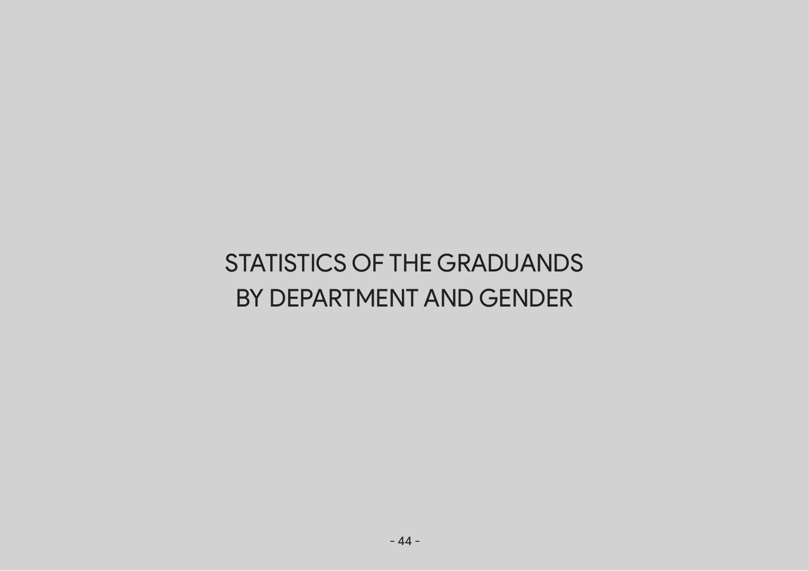# STATISTICS OF THE GRADUANDS BY DEPARTMENT AND GENDER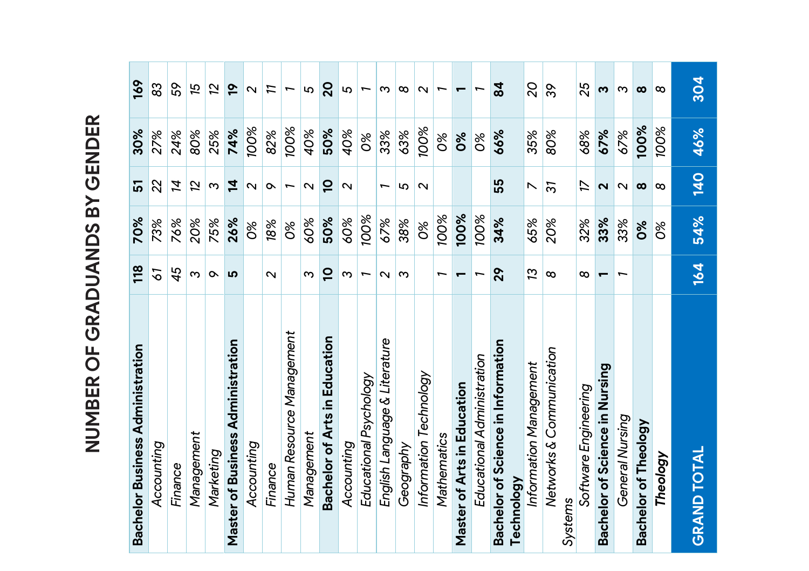| <b>Bachelor Business Administration</b>          | 118            | 70%           | 5                 | 30%       | 169             |  |
|--------------------------------------------------|----------------|---------------|-------------------|-----------|-----------------|--|
| Accounting                                       | 51             | 73%           | 22                | 27%       | 83              |  |
| Finance                                          | 45             | 76%           | Z,                | 24%       | SS              |  |
| Management                                       | ო              | 20%           | 52                | 80%       | 15              |  |
| Marketing                                        | $\alpha$       | 75%           | ω                 | 25%       | 52              |  |
| Master of Business Administration                | <b>LO</b>      | 26%           | 4                 | 74%       | <b>o</b>        |  |
| Accounting                                       |                | 80            | N                 | 100%      | $\sim$          |  |
| Finance                                          | $\sim$         | 18%           | $\infty$          | 82%       | π               |  |
| Human Resource Management                        |                | $\delta$      | Ē                 | 100%      | T               |  |
| Management                                       | ო              | 60%           | $\sim$            | 40%       | 5               |  |
| Bachelor of Arts in Education                    | $\overline{a}$ | 50%           | $\overline{a}$    | 50%       | $\overline{20}$ |  |
| Accounting                                       | ო              | 80%           | $\sim$            | 40%       | 5               |  |
| Educational Psychology                           | ∽              | 100%          |                   | 80        | T               |  |
| English Language & Literature                    | $\sim$         | 67%           | H                 | 33%       | ო               |  |
| Geography                                        | ო              | 38%           | 5                 | 63%       | $^\infty$       |  |
| Information Technology                           |                | 80            | $\mathbf{\Omega}$ | 100%      | $\sim$          |  |
| Mathematics                                      | H              | 100%          |                   | 80        | ↽               |  |
| Master of Arts in Education                      | 一              | 100%          |                   | ಕಿಂ       |                 |  |
| <del>Educational Administration</del>            |                | 100%          |                   | <b>PE</b> |                 |  |
| Bachelor of Science in Information<br>Technology | 29             | 34%           | 55                | 66%       | $\overline{a}$  |  |
| Information Management                           | 13             | 65%           | N                 | 35%       | 20              |  |
| Networks & Communication<br>Systems              | ∞              | 20%           | $\overline{3}$    | 80%       | ŝδ              |  |
| Software Engineering                             | ∞              | 32%           | 17                | 68%       | 25              |  |
| Bachelor of Science in Nursing                   | ᠇              | 33%           | $\mathbf{\Omega}$ | 67%       | S               |  |
| <del>Seneral Nursing</del>                       |                | 33%           |                   | 67%       | m               |  |
| Bachelor of Theology                             |                | စိစ           | $\infty$          | 100%      | $\infty$        |  |
| <b>Theology</b>                                  |                | $\frac{1}{2}$ | œ                 | 100%      | œ               |  |
| <b>GRAND TOTAL</b>                               | 164            | 54%           | <b>140</b>        | 46%       | 304             |  |
|                                                  |                |               |                   |           |                 |  |

# **MINOED OCECDANDS BY CENDED** NUMBER OF GRADUANDS BY GENDER **NUMBER OF GRADUANDS BY GENDER**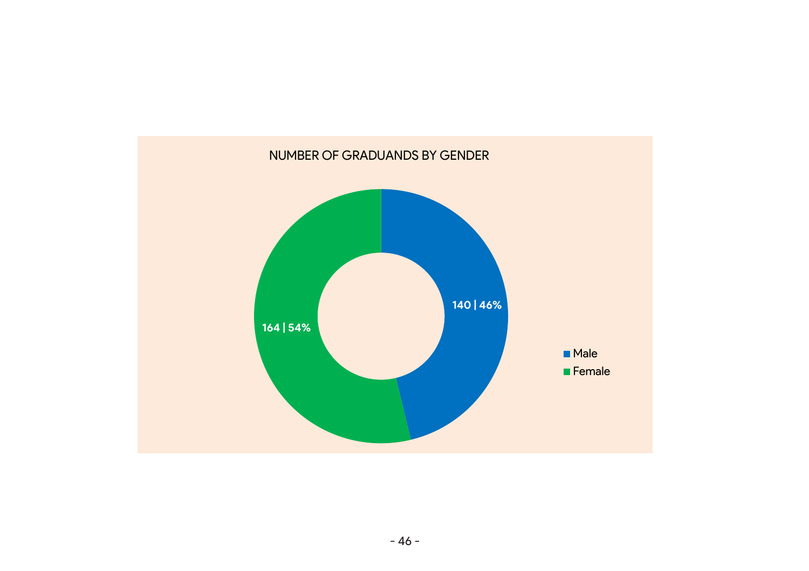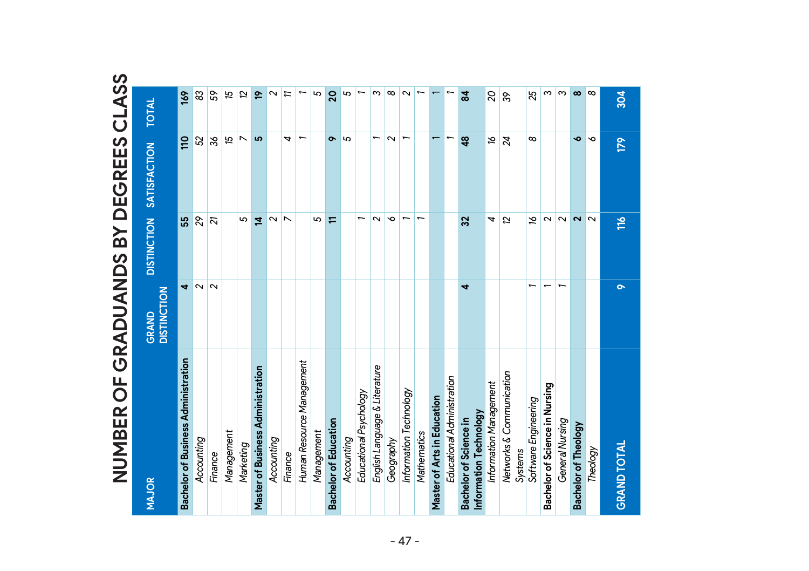| 51<br>25<br>$\mathfrak{m}$<br>$\infty$<br>59<br>5<br>5<br>$\infty$<br>$\frac{1}{6}$<br>83<br>$\overline{\mathbf{z}}$<br>e.<br>$\sim$<br>ო<br>$\infty$<br>$\sim$<br>$\mathbf{a}$<br>304<br>π<br>$\overline{20}$<br>$\frac{8}{3}$<br>S.<br><b>TOTAL</b><br>$\overline{ }$<br>$\overline{ }$<br>$\overline{ }$<br>$\infty$<br>ò<br>52<br>$\frac{8}{3}$<br>15<br>ம<br>4<br>5<br>$\sim$<br>ς<br>Ó<br>110<br>$\overline{\phantom{0}}$<br>$\bullet$<br>48<br>$\overline{z}$<br>179<br><b>SATISFACTION</b><br><b>DISTINCTION</b><br>$\sim$<br>$\sim$<br>$\sim$<br>55<br>$\mathcal{S}^2$<br>5<br>5<br>$\overline{ }$<br>$\sim$<br>$\sim$<br>T<br>ρÎ<br>$\sim$<br>51<br>호<br>$\overline{\phantom{a}}$<br>$\overline{a}$<br>$\frac{1}{16}$<br>32<br>4<br>⋿<br>$\overline{\mathbf{N}}$<br>$\overline{\mathbf{c}}$<br>$\overline{ }$<br>4<br>õ<br>4<br><b>GRAND<br/>DISTINCTION</b><br>Bachelor of Business Administration<br>Human Resource Management<br>English Language & Literature<br>Master of Business Administration<br>Networks & Communication<br>Educational Administration<br>Information Management<br>Bachelor of Science in Nursing<br>Information Technology<br>Educational Psychology<br>Master of Arts in Education<br>Software Engineering<br>Information Technology<br>Bachelor of Science in<br>General Nursing<br><b>Bachelor of Education</b><br><b>Bachelor of Theology</b><br>Management<br>Management<br>Mathematics<br>Accounting<br>Accounting<br>Accounting<br>Geography<br>Marketing<br><b>GRAND TOTAL</b><br>Theology<br>Systems<br>Finance<br>Finance<br><b>MAJOR</b> |  |  |  |
|-------------------------------------------------------------------------------------------------------------------------------------------------------------------------------------------------------------------------------------------------------------------------------------------------------------------------------------------------------------------------------------------------------------------------------------------------------------------------------------------------------------------------------------------------------------------------------------------------------------------------------------------------------------------------------------------------------------------------------------------------------------------------------------------------------------------------------------------------------------------------------------------------------------------------------------------------------------------------------------------------------------------------------------------------------------------------------------------------------------------------------------------------------------------------------------------------------------------------------------------------------------------------------------------------------------------------------------------------------------------------------------------------------------------------------------------------------------------------------------------------------------------------------------------------------------------------------------------|--|--|--|
|                                                                                                                                                                                                                                                                                                                                                                                                                                                                                                                                                                                                                                                                                                                                                                                                                                                                                                                                                                                                                                                                                                                                                                                                                                                                                                                                                                                                                                                                                                                                                                                           |  |  |  |
|                                                                                                                                                                                                                                                                                                                                                                                                                                                                                                                                                                                                                                                                                                                                                                                                                                                                                                                                                                                                                                                                                                                                                                                                                                                                                                                                                                                                                                                                                                                                                                                           |  |  |  |
|                                                                                                                                                                                                                                                                                                                                                                                                                                                                                                                                                                                                                                                                                                                                                                                                                                                                                                                                                                                                                                                                                                                                                                                                                                                                                                                                                                                                                                                                                                                                                                                           |  |  |  |
|                                                                                                                                                                                                                                                                                                                                                                                                                                                                                                                                                                                                                                                                                                                                                                                                                                                                                                                                                                                                                                                                                                                                                                                                                                                                                                                                                                                                                                                                                                                                                                                           |  |  |  |
|                                                                                                                                                                                                                                                                                                                                                                                                                                                                                                                                                                                                                                                                                                                                                                                                                                                                                                                                                                                                                                                                                                                                                                                                                                                                                                                                                                                                                                                                                                                                                                                           |  |  |  |
|                                                                                                                                                                                                                                                                                                                                                                                                                                                                                                                                                                                                                                                                                                                                                                                                                                                                                                                                                                                                                                                                                                                                                                                                                                                                                                                                                                                                                                                                                                                                                                                           |  |  |  |
|                                                                                                                                                                                                                                                                                                                                                                                                                                                                                                                                                                                                                                                                                                                                                                                                                                                                                                                                                                                                                                                                                                                                                                                                                                                                                                                                                                                                                                                                                                                                                                                           |  |  |  |
|                                                                                                                                                                                                                                                                                                                                                                                                                                                                                                                                                                                                                                                                                                                                                                                                                                                                                                                                                                                                                                                                                                                                                                                                                                                                                                                                                                                                                                                                                                                                                                                           |  |  |  |
|                                                                                                                                                                                                                                                                                                                                                                                                                                                                                                                                                                                                                                                                                                                                                                                                                                                                                                                                                                                                                                                                                                                                                                                                                                                                                                                                                                                                                                                                                                                                                                                           |  |  |  |
|                                                                                                                                                                                                                                                                                                                                                                                                                                                                                                                                                                                                                                                                                                                                                                                                                                                                                                                                                                                                                                                                                                                                                                                                                                                                                                                                                                                                                                                                                                                                                                                           |  |  |  |
|                                                                                                                                                                                                                                                                                                                                                                                                                                                                                                                                                                                                                                                                                                                                                                                                                                                                                                                                                                                                                                                                                                                                                                                                                                                                                                                                                                                                                                                                                                                                                                                           |  |  |  |
|                                                                                                                                                                                                                                                                                                                                                                                                                                                                                                                                                                                                                                                                                                                                                                                                                                                                                                                                                                                                                                                                                                                                                                                                                                                                                                                                                                                                                                                                                                                                                                                           |  |  |  |
|                                                                                                                                                                                                                                                                                                                                                                                                                                                                                                                                                                                                                                                                                                                                                                                                                                                                                                                                                                                                                                                                                                                                                                                                                                                                                                                                                                                                                                                                                                                                                                                           |  |  |  |
|                                                                                                                                                                                                                                                                                                                                                                                                                                                                                                                                                                                                                                                                                                                                                                                                                                                                                                                                                                                                                                                                                                                                                                                                                                                                                                                                                                                                                                                                                                                                                                                           |  |  |  |
|                                                                                                                                                                                                                                                                                                                                                                                                                                                                                                                                                                                                                                                                                                                                                                                                                                                                                                                                                                                                                                                                                                                                                                                                                                                                                                                                                                                                                                                                                                                                                                                           |  |  |  |
|                                                                                                                                                                                                                                                                                                                                                                                                                                                                                                                                                                                                                                                                                                                                                                                                                                                                                                                                                                                                                                                                                                                                                                                                                                                                                                                                                                                                                                                                                                                                                                                           |  |  |  |
|                                                                                                                                                                                                                                                                                                                                                                                                                                                                                                                                                                                                                                                                                                                                                                                                                                                                                                                                                                                                                                                                                                                                                                                                                                                                                                                                                                                                                                                                                                                                                                                           |  |  |  |
|                                                                                                                                                                                                                                                                                                                                                                                                                                                                                                                                                                                                                                                                                                                                                                                                                                                                                                                                                                                                                                                                                                                                                                                                                                                                                                                                                                                                                                                                                                                                                                                           |  |  |  |
|                                                                                                                                                                                                                                                                                                                                                                                                                                                                                                                                                                                                                                                                                                                                                                                                                                                                                                                                                                                                                                                                                                                                                                                                                                                                                                                                                                                                                                                                                                                                                                                           |  |  |  |
|                                                                                                                                                                                                                                                                                                                                                                                                                                                                                                                                                                                                                                                                                                                                                                                                                                                                                                                                                                                                                                                                                                                                                                                                                                                                                                                                                                                                                                                                                                                                                                                           |  |  |  |
|                                                                                                                                                                                                                                                                                                                                                                                                                                                                                                                                                                                                                                                                                                                                                                                                                                                                                                                                                                                                                                                                                                                                                                                                                                                                                                                                                                                                                                                                                                                                                                                           |  |  |  |
|                                                                                                                                                                                                                                                                                                                                                                                                                                                                                                                                                                                                                                                                                                                                                                                                                                                                                                                                                                                                                                                                                                                                                                                                                                                                                                                                                                                                                                                                                                                                                                                           |  |  |  |
|                                                                                                                                                                                                                                                                                                                                                                                                                                                                                                                                                                                                                                                                                                                                                                                                                                                                                                                                                                                                                                                                                                                                                                                                                                                                                                                                                                                                                                                                                                                                                                                           |  |  |  |
|                                                                                                                                                                                                                                                                                                                                                                                                                                                                                                                                                                                                                                                                                                                                                                                                                                                                                                                                                                                                                                                                                                                                                                                                                                                                                                                                                                                                                                                                                                                                                                                           |  |  |  |
|                                                                                                                                                                                                                                                                                                                                                                                                                                                                                                                                                                                                                                                                                                                                                                                                                                                                                                                                                                                                                                                                                                                                                                                                                                                                                                                                                                                                                                                                                                                                                                                           |  |  |  |
|                                                                                                                                                                                                                                                                                                                                                                                                                                                                                                                                                                                                                                                                                                                                                                                                                                                                                                                                                                                                                                                                                                                                                                                                                                                                                                                                                                                                                                                                                                                                                                                           |  |  |  |
|                                                                                                                                                                                                                                                                                                                                                                                                                                                                                                                                                                                                                                                                                                                                                                                                                                                                                                                                                                                                                                                                                                                                                                                                                                                                                                                                                                                                                                                                                                                                                                                           |  |  |  |
|                                                                                                                                                                                                                                                                                                                                                                                                                                                                                                                                                                                                                                                                                                                                                                                                                                                                                                                                                                                                                                                                                                                                                                                                                                                                                                                                                                                                                                                                                                                                                                                           |  |  |  |
|                                                                                                                                                                                                                                                                                                                                                                                                                                                                                                                                                                                                                                                                                                                                                                                                                                                                                                                                                                                                                                                                                                                                                                                                                                                                                                                                                                                                                                                                                                                                                                                           |  |  |  |
|                                                                                                                                                                                                                                                                                                                                                                                                                                                                                                                                                                                                                                                                                                                                                                                                                                                                                                                                                                                                                                                                                                                                                                                                                                                                                                                                                                                                                                                                                                                                                                                           |  |  |  |
|                                                                                                                                                                                                                                                                                                                                                                                                                                                                                                                                                                                                                                                                                                                                                                                                                                                                                                                                                                                                                                                                                                                                                                                                                                                                                                                                                                                                                                                                                                                                                                                           |  |  |  |
|                                                                                                                                                                                                                                                                                                                                                                                                                                                                                                                                                                                                                                                                                                                                                                                                                                                                                                                                                                                                                                                                                                                                                                                                                                                                                                                                                                                                                                                                                                                                                                                           |  |  |  |
|                                                                                                                                                                                                                                                                                                                                                                                                                                                                                                                                                                                                                                                                                                                                                                                                                                                                                                                                                                                                                                                                                                                                                                                                                                                                                                                                                                                                                                                                                                                                                                                           |  |  |  |
|                                                                                                                                                                                                                                                                                                                                                                                                                                                                                                                                                                                                                                                                                                                                                                                                                                                                                                                                                                                                                                                                                                                                                                                                                                                                                                                                                                                                                                                                                                                                                                                           |  |  |  |
|                                                                                                                                                                                                                                                                                                                                                                                                                                                                                                                                                                                                                                                                                                                                                                                                                                                                                                                                                                                                                                                                                                                                                                                                                                                                                                                                                                                                                                                                                                                                                                                           |  |  |  |

# **NUMBER OF GRADUANDS BY DEGREES CLASS**DEGREES **Nd** GRADIIANDS  $\frac{1}{2}$ NUMRER

 $\boldsymbol{u}$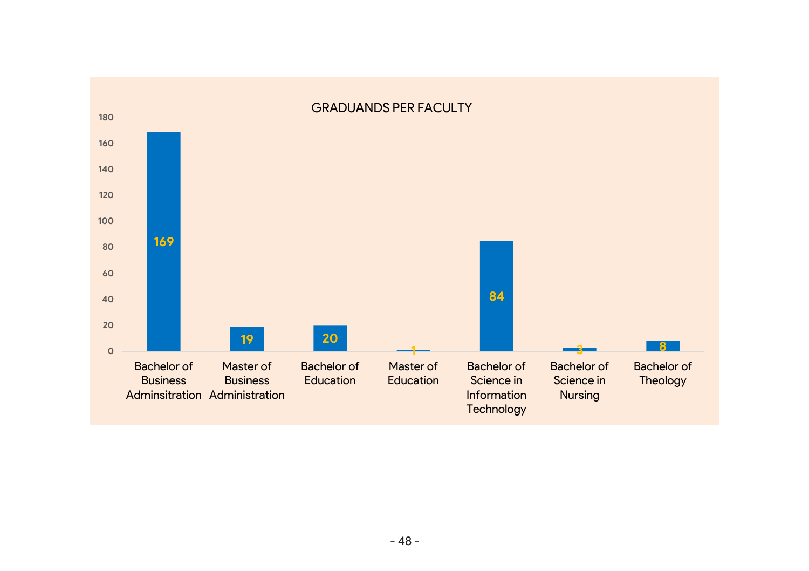